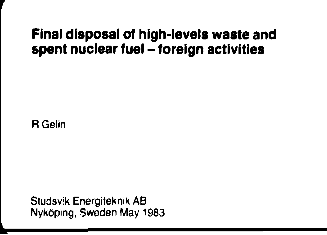## **Final disposal of high-levels waste and spent nuclear fuel - foreign activities**

R Gelin

Studsvik Energiteknik AB Nyköping, Sweden May 1983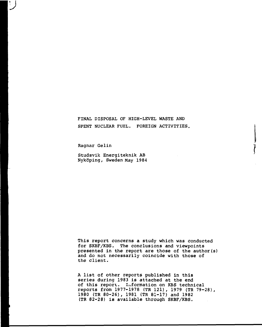## FINAL DISPOSAL OF HIGH-LEVEL WASTE AND SPENT NUCLEAR FUEL. FOREIGN ACTIVITIES.

Ragnar Gelin

**v**

Studsvik Energiteknik AB Nyköping, Sweden May 1984

This report concerns a study which was conducted for SKBF/KBS. The conclusions and viewpoints presented in the report are those of the author(s) and do not necessarily coincide with those of the client.

A list of other reports published in this series during 1983 is attached at the end of this report. Information on KBS technical reports from 1977-1978 (TR 121), 1979 (TR 79-28), 1980 (TR 80-26), 1981 (TR 81-17) and 1982 (TR 82-28) is available through SKBF/KBS.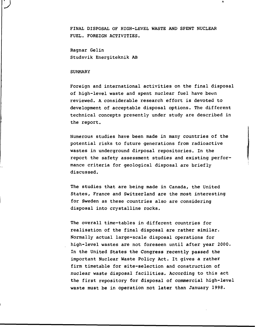FINAL DISPOSAL OF HIGH-LEVEL WASTE AND SPENT NUCLEAR FUEL. FOREIGN ACTIVITIES.

Ragnar Gelin Studsvik Energiteknik AB

#### **SUMMARY**

**J**

Foreign and international activities on the final disposal of high-level waste and spent nuclear fuel have been reviewed. A considerable research effort is devoted to development of acceptable disposal options. The different technical concepts presently under study are described in the report.

Numerous studies have been made in many countries of the potential risks to future generations from radioactive wastes in underground dipposal repositories. In the report the safety assessment studies and existing performance criteria for geological disposal are briefly discussed.

The studies that are being made in Canada, the United States, France and Switzerland are the most interesting for Sweden as these countries also are considering disposal into crystalline rocks.

The overall time-tables in different countries for realisation of the final disposal are rather similar. Normally actual large-scale disposal operations for high-level wastes are not foreseen until after year 2000. In the United States the Congress recently passed the important Nuclear Waste Policy Act. It gives a rather firm timetable for site-selection and construction of nuclear waste disposal facilities. According to this act the first repository for disposal of commercial high-level waste must be in operation not later than January 1998.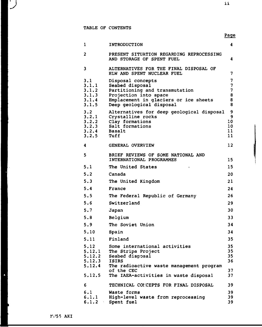$\mathbf{1}$ 

 $\overline{2}$ 

 $\overline{\mathbf{3}}$ 

**•J** 11

| 1                                                | INTRODUCTION                                                                                                                                                         | $\overline{\mathbf{4}}$                 |
|--------------------------------------------------|----------------------------------------------------------------------------------------------------------------------------------------------------------------------|-----------------------------------------|
| 2                                                | PRESENT SITUATION REGARDING REPROCESSING<br>AND STORAGE OF SPENT FUEL                                                                                                | 4                                       |
| 3                                                | ALTERNATIVES FOR THE FINAL DISPOSAL OF<br>HLW AND SPENT NUCLEAR FUEL                                                                                                 | $\overline{7}$                          |
| 3.1<br>3.1.1<br>3.1.2<br>3.1.3<br>3.1.4<br>3.1.5 | Disposal concepts<br>Seabed disposal<br>Partitioning and transmutation<br>Projection into space<br>Emplacement in glaciers or ice sheets<br>Deep geological disposal | $\overline{7}$<br>7<br>7<br>8<br>8<br>8 |
| 3.2<br>3.2.1<br>3.2.2<br>3.2.3<br>3.2.4<br>3.2.5 | Alternatives for deep geological disposal<br>Crystalline rocks<br>Clay formations<br>Salt formations<br><b>Basalt</b><br>Tuff                                        | 9<br>9<br>10<br>10<br>11<br>11          |
| 4                                                | GENERAL OVERVIEW                                                                                                                                                     | 12 <sup>2</sup>                         |
| 5                                                | BRIEF REVIEWS OF SOME NATIONAL AND<br>INTERNATIONAL PROGRAMMES                                                                                                       | 15                                      |
| 5.1                                              | The United States                                                                                                                                                    | 15                                      |
| 5.2                                              | Canada                                                                                                                                                               | 20                                      |
| 5.3                                              | The United Kingdom                                                                                                                                                   | 21                                      |
| 5.4                                              | France                                                                                                                                                               | 24                                      |
| 5.5                                              | The Federal Republic of Germany                                                                                                                                      | 26                                      |
| 5.6                                              | Switzerland                                                                                                                                                          | 29                                      |
| 5.7                                              | Japan                                                                                                                                                                | 30                                      |
| 5.8                                              | Belgium                                                                                                                                                              | 33                                      |
| 5.9                                              | The Soviet Union                                                                                                                                                     | 34                                      |
| 5.10                                             | Spain                                                                                                                                                                | 34                                      |
| 5.11                                             | Finland                                                                                                                                                              | 35                                      |
| 5.12<br>5.12.1<br>5.12.2<br>5.12.3               | Some international activities<br>The Stripa Project<br>Seabed disposal<br><b>ISIRS</b>                                                                               | 35<br>35<br>35<br>36                    |
| 5.12.4<br>5.12.5                                 | The radioactive waste management program<br>of the CEC<br>The IAEA-activities in waste disposal                                                                      | 37<br>37                                |
| 6                                                | TECHNICAL CONCEPTS FOR FINAL DISPOSAL                                                                                                                                | 39                                      |
| 6.1<br>6.1.1                                     | Waste forms<br>High-level waste from reprocessing                                                                                                                    | 39<br>39                                |

6.1.2 Spent fuel 39

 $\hat{\mathbf{a}}$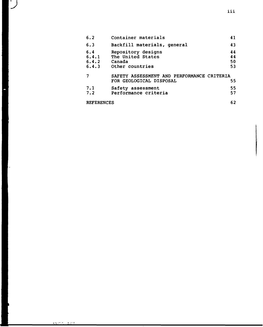| 6.4.3             | Other countries                                                       | 53       |
|-------------------|-----------------------------------------------------------------------|----------|
|                   | SAFETY ASSESSMENT AND PERFORMANCE CRITERIA<br>FOR GEOLOGICAL DISPOSAL | 55       |
| 7.1<br>7.2        | Safety assessment<br>Performance criteria                             | 55<br>57 |
| <b>REFERENCES</b> |                                                                       |          |

Canada

6.2 6.3 6.4 6.4.1 6.4.2

 $\overline{\phantom{a}}$ ∫

**111**

 $5.55 \times 10^{-1}$  $\pi$  or  $\tau$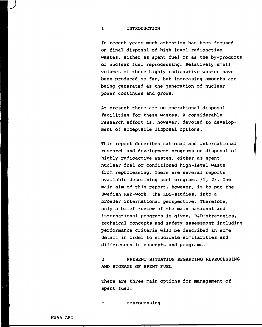#### 1 INTRODUCTION

In recent years much attention has been focused on final disposal of high-level radioactive wastes, either as spent fuel or as the by-products of nuclear fuel reprocessing. Relatively small volumes of these highly radioactive wastes have been produced so far, but increasing amounts are being generated as the generation of nuclear power continues and grows.

At present there are no operational disposal facilities for these wastes. A considerable research effort is, however, devoted to development of acceptable disposal options.

This report describes national and international research and development programs on disposal of highly radioactive wastes, either as spent nuclear fuel or conditioned high-level waste from reprocessing. There are several reports available describing such programs /I, 2/. The main aim of this report, however, is to put the Swedish R&D-work, the KBS-studies, into a broader international perspective. Therefore, only a brief review of the main national and international programs is given. R&D-strategies, technical concepts and safety assessment including performance criteria will be described in some detail in order to elucidate similarities and differences in concepts and programs.

2 PRESENT SITUATION REGARDING REPROCESSING AND STORAGE OF SPENT FUEL

There are three main options for management of spent fuel:

reprocessing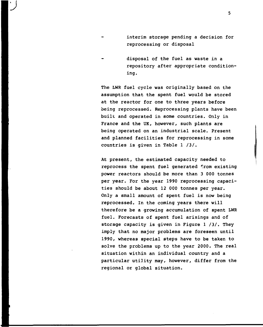interim storage pending a decision for reprocessing or disposal

**•J**

disposal of the fuel as waste in a repository after appropriate conditioning.

The LWR fuel cycle was originally based on the assumption that the spent fuel would be stored at the reactor for one to three years before being reprocessed. Reprocessing plants have been built and operated in some countries. Only in France and the UK, however, such plants are being operated on an industrial scale. Present and planned facilities for reprocessing in some countries is given in Table  $1 / 3/$ .

At present, the estimated capacity needed to reprocess the spent fuel generated from existing power reactors should be more than 3 000 tonnes per year. For the year 1990 reprocessing capacities should be about 12 000 tonnes per year. Only a small amount of spent fuel is now being reprocessed. In the coming years there will therefore be a growing accumulation of spent LWR fuel. Forecasts of spent fuel arisings and of storage capacity is given in Figure  $1 / 3/$ . They imply that no major problems are foreseen until 1990, whereas special steps have to be taken to solve the problems up to the year 2000. The real situation within an individual country and a particular utility may, however, differ from the regional or global situation.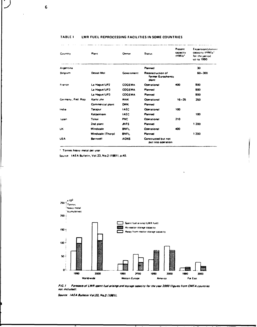| Country            | Plant             | Owner         | <b>Status</b>                                    | Present<br><b>Capacity</b><br>tHM/a* | <b>Expansion/planner</b><br>capacity tHM/a*<br>for the period<br>up to 1990 |
|--------------------|-------------------|---------------|--------------------------------------------------|--------------------------------------|-----------------------------------------------------------------------------|
| Argentina          |                   |               | Planned                                          |                                      | 30                                                                          |
| <b>Belgium</b>     | Dessel-Mol        | Government    | Reconstruction of<br>former Eurochemic<br>plant  |                                      | 60-300                                                                      |
| France             | La Hague/UP2      | <b>COGEMA</b> | Operational                                      | 400                                  | 800                                                                         |
|                    | La Hague/UP3      | <b>COGEMA</b> | Planned                                          |                                      | 800                                                                         |
|                    | La Haque/UP3      | <b>COGEMA</b> | <b>Planned</b>                                   |                                      | 800                                                                         |
| Germany, Fed. Rep. | Karls: uhe        | <b>WAK</b>    | <b>Operational</b>                               | $16 - 35$                            | 350                                                                         |
|                    | Commercial plant  | <b>DWK</b>    | <b>Planned</b>                                   |                                      |                                                                             |
| India              | Tarapur           | <b>IAEC</b>   | <b>Operational</b>                               | 100                                  |                                                                             |
|                    | Kalpakkam         | <b>IAEC</b>   | Planned                                          |                                      | 100                                                                         |
| lapan              | Tokei             | PNC.          | Operational                                      | 210                                  |                                                                             |
|                    | 2nd plant         | <b>JNFS</b>   | Planned                                          |                                      | 1 200                                                                       |
| UK                 | Windscale         | <b>BNFL</b>   | Operational                                      | 400                                  |                                                                             |
|                    | Windscale (Thorp) | <b>BNFL</b>   | Planned                                          |                                      | 1 200                                                                       |
| <b>USA</b>         | Barnwell          | <b>AGNS</b>   | Constructed but not<br><b>Dut into operation</b> |                                      |                                                                             |

#### **TABLE I LWR FUEL REPROCESSING FACILITIES IN SOME COUNTRIES**

**' Tonnes heavy metal per year**

**Source IAEA Bulletin, Vol.23. No.2 (1981). p.40.**



FIG.1 Forecasts of LWR spent fuel erisings and storage capacity for the year 2000 Ifigures from CMEA countries **not includidl.**

Source: **IAEA Builetin Vol.23, No.2 (1981).** 

т.

 $\overline{a}$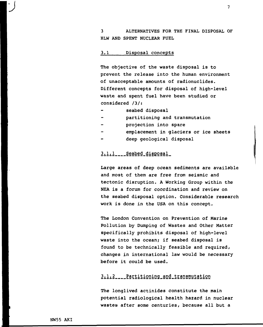3 ALTERNATIVES FOR THE FINAL DISPOSAL OF HLW AND SPENT NUCLEAR FUEL

#### 3.1 Disposal concepts

The objective of the waste disposal is to prevent the release into the human environment of unacceptable amounts of radionuclides. Different concepts for disposal of high-level waste and spent fuel have been studied or considered /3/:

- seabed disposal
- partitioning and transmutation
- projection into spare
- emplacement in glaciers or ice sheets
- deep geological disposal

## $3.1.1$ <sub>----</sub>Seabed\_disposal\_

Large areas of deep ocean sediments are available and most of them are free from seismic and tectonic disruption. A Working Group within the NEA is a forum for coordination and review on the seabed disposal option. Considerable research work is done in the USA on this concept.

The London Convention on Prevention of Marine Pollution by Dumping of Wastes and Other Matter specifically prohibits disposal of high-level waste into the ocean; if seabed disposal is found to be technically feasible and required, changes in international law would be necessary before it could be used.

## 3.1.2 Partitioning\_and\_transmutation

The longlived actinides constitute the main potential radiological health hazard in nuclear wastes after some centuries, because all but a

**'J**

 $\overline{7}$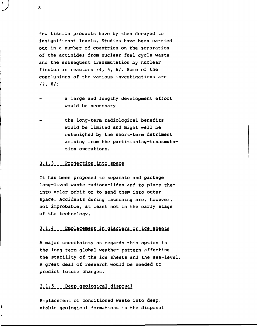few fission products have by then decayed to insignificant levels. Studies have been carried out in a number of countries on the separation of the actinides from nuclear fuel cycle waste and the subsequent transmutation by nuclear fission in reactors /4, 5, 6/. Some of the conclusions of the various investigations are  $17.8/$ :

- a large and lengthy development effort would be necessary
- the long-term radiological benefits would be limited and might well be outweighed by the short-term detriment arising from the partitioning-transmuta tion operations.

## 3.1.3 Projection into space

It has been proposed to separate and package long-lived waste radionuclides and to place them into solar orbit or to send them into outer space. Accidents during launching are, however, not improbable, at least not in the early stage of the technology.

## 3.1.4 Emplacement in glaciers or ice sheets

A major uncertainty as regards this option is the long-term global weather pattern affecting the stability of the ice sheets and the sea-level, A great deal of research would be needed to predict future changes.

## 3.1.5 \_\_ Deep geological disposal

Emplacement of conditioned waste into deep, stable geological formations is the disposal

8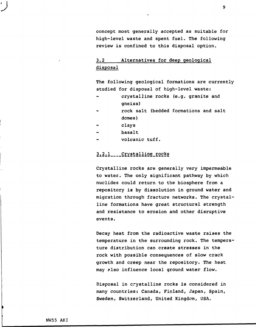concept most generally accepted as suitable for high-level waste and spent fuel. The following review is confined to this disposal option.

# 3.2 Alternatives for deep geological disposal

The following geological formations are currently studied for disposal of high-level waste:

- crystalline rocks (e.g. granite and gneiss)
- rock salt (bedded formations and salt domes)
- clays
- basalt
- volcanic tuff.

## 3.2.1 Crystalline\_rocks

Crystalline rocks are generally very impermeable to water. The only significant pathway by which nuclides could return to the biosphere from a repository is by dissolution in ground water and migration through fracture networks. The crystal line formations have great structural strength and resistance to erosion and other disruptive events.

Decay heat from the radioactive waste raises the temperature in the surrounding rock. The tempera ture distribution can create stresses in the rock with possible consequences of slow crack growth and creep near the repository. The heat may also influence local ground water flow.

Disposal in crystalline rocks is considered in many countries: Canada, Finland, Japan, Spain, Sweden, Switzerland, United Kingdom, USA.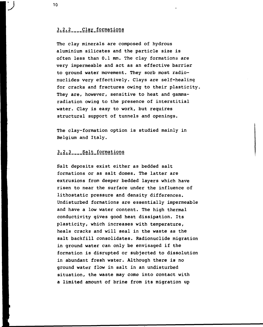## 3.2.2 Clay formations

The clay minerals are composed of hydrous aluminium silicates and the particle size is often less than 0.1 mm. The clay formations are very impermeable and act as an effective barrier to ground water movement. They sorb most radionuclides very effectively. Clays are self-healing for cracks and fractures owing to their plasticity, They are, however, sensitive to heat and gammaradiation owing to the presence of interstitial water. Clay is easy to work, but requires structural support of tunnels and openings.

The clay-formation option is studied mainly in Belgium and Italy.

## 3.2.3 Salt formations

Salt deposits exist either as bedded salt formations or as salt domes. The latter are extrusions from deeper bedded layers which have risen to near the surface under the influence of lithostatic pressure and density differences. Undisturbed formations are essentially impermeable and have a low water content. The high thermal conductivity gives good heat dissipation. Its plasticity, which increases with temperature, heals cracks and will seal in the waste as the salt backfill consolidates. Radionuclide migration in ground water can only be envisaged if the formation is disrupted or subjected to dissolution in abundant fresh water. Although there is no ground water flow in salt in an undisturbed situation, the waste may come into contact with a limited amount of brine from its migration up

10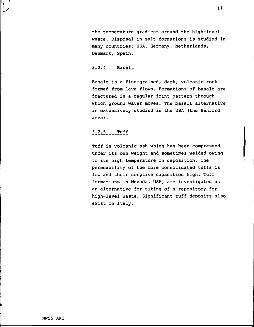the temperature gradient around the high-level waste. Disposal in salt formations is studied in many countries: USA, Germany, Netherlands, Denmark, Spain.

## $3.2.4$  Basalt

Basalt is a fine-grained, dark, volcanic rock formed from lava flows. Formations of basalt are fractured in a regular joint pattern through which ground water moves. The basalt alternative is extensively studied in the USA (the Hanford area).

## $3.2.5$  Tuff

Tuff is volcanic ash which has been compressed under its own weight and sometimes welded owing to its high temperature on deposition. The permeability of the more consolidated tuffs is low and their sorptive capacities high. Tuff formations in Nevada, USA, are investigated as an alternative for siting of a repository for high-level waste. Significant tuff deposits also exist in Italy.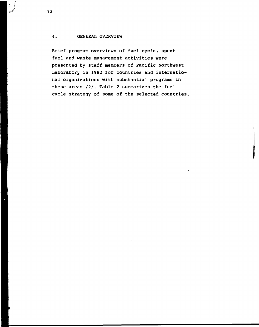### 4. GENERAL OVERVIEW

Brief program overviews of fuel cycle, spent fuel and waste management activities were presented by staff members of Pacific Northwest Laborabory in 1982 for countries and international organizations with substantial programs in these areas  $/2/$ . Table 2 summarizes the fuel cycle strategy of some of the selected countries,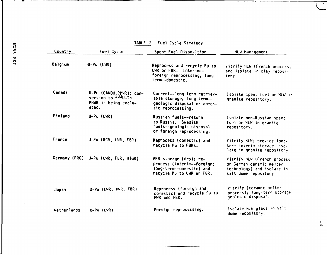| ξ<br>Ο<br><b>u</b> | Country     | Fuel Cycle                                                                                 | Spent Fuel Disposition                                                                                        | <b>HLW Management</b>                                                                                          |
|--------------------|-------------|--------------------------------------------------------------------------------------------|---------------------------------------------------------------------------------------------------------------|----------------------------------------------------------------------------------------------------------------|
| <b>AKI</b>         | Belgium     | $U-PU$ (LWR)                                                                               | Reprocess and recycle Pu to<br>LWR or FBR. Interim--<br>foreign reprocessing; long<br>term--domestic.         | Vitrify HLW (French process;<br>and isolate in clay reposi-<br>tory.                                           |
|                    | Canada      | U-Pu (CANDU PHWR); con-<br>version to <sup>233</sup> U-Th<br>PHWR is being evalu-<br>ated. | Current--long term retriev-<br>able storage; long term--<br>geologic disposal or domes-<br>tic reprocessing.  | Isolate spent fuel or HLW in<br>granite repository.                                                            |
|                    | Finland     | $U-PU$ (LWR)                                                                               | Russian fuels--return<br>to Russia. Swedish<br>fuels--geologic disposal<br>or foreign reprocessing.           | Isolate non-Russian spent<br>fuel or HLW in granite<br>repository.                                             |
|                    | France      | U-Pu (GCR, LWR, FBR)                                                                       | Reprocess (domestic) and<br>recycle Pu to FBRs.                                                               | Vitrify HLW; provide long-<br>term interim storage; iso-<br>late in granite repository.                        |
|                    |             | Germany (FRG) U-Pu (LWR, FBR, HTGR)                                                        | AFR storage (dry); re-<br>process (interim--foreign;<br>long-term--domestic) and<br>recycle Pu to LWR or FBR. | Vitrify HLW (French process<br>or German ceramic melter<br>technology) and isolate in<br>salt dome repository. |
|                    | Japan       | U-Pu (LWR, HWR, FBR)                                                                       | Reprocess (foreign and<br>domestic) and recycle Pu to<br>HWR and FBR.                                         | Vitrify (ceramic melter<br>process); long-term storage<br>geologic disposai.                                   |
|                    | Netherlands | $U-PU$ (LWR)                                                                               | Foreign reprocessing.                                                                                         | Isolate HLW glass in salt<br>dome repository.                                                                  |

# **TABLE 2 Fuel Cycle Strategy**

\_\_

13

 $\frac{1}{\sqrt{2}}$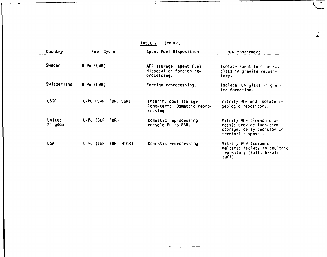|                   |                       | $\{contd\}$<br>TABLE 2                                            |                                                                                                          |
|-------------------|-----------------------|-------------------------------------------------------------------|----------------------------------------------------------------------------------------------------------|
| <b>Country</b>    | Fuel Cycle            | Spent Fuel Disposition                                            | HLW Management                                                                                           |
| <b>Sweden</b>     | $U-PU$ (LWR)          | AFR storage; spent fuel<br>disposal or foreign re-<br>processing. | Isolate spent fuel or HLW<br>glass in granite reposi-<br>tory.                                           |
| Switzerland       | $U-PU(UWR)$           | Foreign reprocessing.                                             | Isolate HLW glass in gran-<br>ite formation.                                                             |
| <b>USSR</b>       | U-Pu (LWR, FBR, LGR)  | Interim; pool storage;<br>long-term: Domestic repro-<br>cessing.  | Vitrify MLW and isolate in<br>geologic repository.                                                       |
| United<br>Kingdom | U-Pu (GCR, FBR)       | Domestic reprocessing;<br>recycle Pu to FBR.                      | Vitrify HLW (French pro-<br>cess); provide long-term<br>storage; delay decision on<br>terminal disposal. |
| <b>USA</b>        | U-Pu (LWR, FBR, HTGR) | Domestic reprocessing.                                            | Vitrify HLW (ceramic<br>melter); isolate in geologic<br>repository (salt, basalt,<br>$\textsf{tuff}$ ).  |

 $\overline{\phantom{0}}$ 

--

 $\tilde{L}$ 

Ŧ

 $\frac{1}{4}$ 

 $\sim$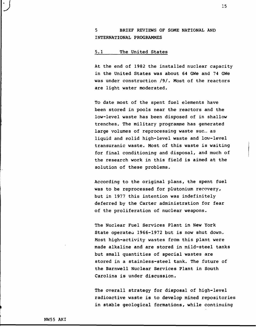## 5 BRIEF REVIEWS OF SOME NATIONAL AND INTERNATIONAL PROGRAMMES

### 5.1 The United States

At the end of 1982 the installed nuclear capacity in the United States was about 64 GWe and 74 GWe was under construction /9/. Most of the reactors are light water moderated.

To date most of the spent fuel elements have been stored in pools near the reactors and the low-level waste has been disposed of in shallow trenches. The military programme has generated large volumes of reprocessing waste sue. as liquid and solid high-level waste and low-level transuranic waste. Most of this waste is waiting for final conditioning and disposal, and much of the research work in this field is aimed at the solution of these problems.

According to the original plans, the spent fuel was to be reprocessed for plutonium recovery, but in 1977 this intention was indefinitely deferred by the Carter administration for fear of the proliferation of nuclear weapons.

The Nuclear Fuel Services Plant in New York State operatea 1966-1972 but is now shut down. Most high-activity wastes from this plant were made alkaline and are stored in mild-steel tanks but small quantities of special wastes are stored in a stainless-steel tank. The future of the Barnwell Nuclear Services Plant in South Carolina is under discussion.

The overall strategy for disposal of high-level radioactive waste is to develop mined repositories in stable geological formations, while continuing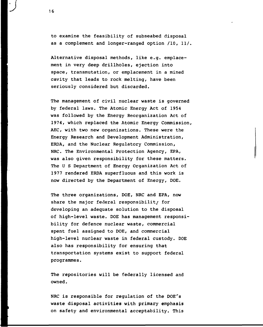to examine the feasibility of subseabed disposal as a complement and longer-ranged option /10, 11/.

Alternative disposal methods, like e.g. emplacement in very deep drillholes, ejection into space, transmutation, or emplacement in a mined cavity that leads to rock melting, have been seriously considered but discarded.

The management of civil nuclear waste is governed by federal laws. The Atomic Energy Act of 1954 was followed by the Energy Reorganization Act of 1974, which replaced the Atomic Energy Commission, AEC, with two new organizations. These were the Energy Research and Development Administration, ERDA, and the Nuclear Regulatory Commission, NRC. The Environmental Protection Agency, EPA, was also given responsibility for these matters. The U S Department of Energy Organization Act of 1977 rendered ERDA superfluous and this work is now directed by the Department of Energy, DOE.

The three organizations, DOE, NRC and EPA, now share the major federal responsibility for developing an adequate solution to the disposal of high-level waste. DOE has management responsibility for defence nuclear waste, commercial spent fuel assigned to DOE, and commercial high-level nuclear waste in federal custody. DOE also has responsibility for ensuring that transportation systems exist to support federal programmes.

The repositories will be federally licensed and owned.

NRC is responsible for regulation of the DOE's waste disposal activities with primary emphasis on safety and environmental acceptability. This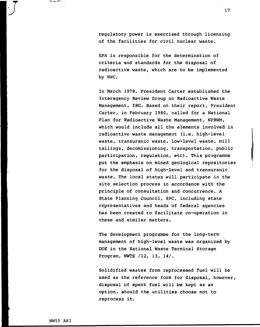regulatory power is exercised through licensing of the facilities for civil nuclear waste.

EPA is responsible for the determination of criteria and standards for the disposal of radioactive waste, which are to be implemented by NRC.

In March 1978, President Carter established the Interagency Review Group on Radioactive Waste Management, IRG. Based on their report, President Carter, in February 1980, called for a National Plan for Radioactive Waste Management, NPRWM, which would include all the elements involved in radioactive waste management (i.e. high-level waste, transuranic waste, low-level waste, mill tailings, decomissioning, transportation, public participation, regulation, etc). This programme put the emphasis on mined geological repositories for the disposal of high-level and transuranic waste. The local states will participate in the site selection process in accordance with the principle of consultation and concurrence. A State Planning Council, SPC, including state representatives and heads of federal agencies has been created to facilitate co-operation in these and similar matters.

The development programme for the long-term management of high-level waste was organized by DOE in the National Waste Terminal Storage Program, NWTS /12, 13, 14/.

Solidified wastes from reprocessed fuel will be used as the reference form for disposal, however, disposal of spent fuel will be kept as an option, should the utilities choose not to reprocess it.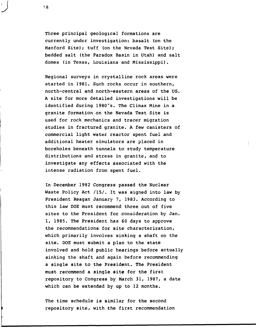Three principal geological formations are currently under investigation: basalt (on the Hanford Site); tuff (on the Nevada Test Site); bedded salt (the Paradox Basin in Utah) and salt domes (in Texas, Louisiana and Mississippi).

Regional surveys in crystalline rock areas were started in 1981. Such rocks occur in southern, north-central and north-eastern areas of the US. A site for more detailed investigations will be identified during 1980"s. The Climax Mine in a granite formation on the Nevada Test Site is used for rock mechanics and tracer migration studies in fractured granite. A few canisters of commercial light water reactor spent fuel and additional heater simulators are placed in boreholes beneath tunnels to study temperature distributions and stress in granite, and to investigate any effects associated with the intense radiation from spent fuel.

In December 1982 Congress passed the Nuclear Waste Policy Act /15/. It was signed into law by President Reagan January 7, 1983. According to this law DOE must recommend three out of five sites to the President for consideration by Jan. 1, 1985. The President has 60 days to approve the recommendations for site characterization, which primarily involves sinking a shaft on the site. DOE must submit a plan to the state involved and hold public hearings before actually sinking the shaft and again before recommending a single site to the President. The President must recommend a single site for the first repository to Congress by March 31, 1987, a date which can be extended by up to 12 months.

The time schedule is similar for the second repository site, with the first recommendation

18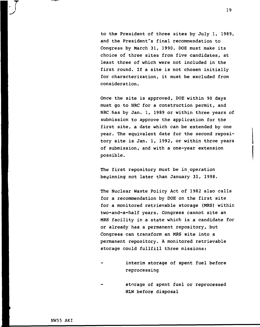to the President of three sites by July 1, 1989, and the President's final recommendation to Congress by March 31, 1990. DOE must make its choice of three sites from five candidates, at least three of which were not included in the first round. If a site is not chosen initially for characterization, it must be excluded from consideration.

Once the site is approved, DOE within 90 days must go to NRC for a construction permit, and NRC has by Jan. 1, 1989 or within three years of submission to approve the application for the first site, a date which can be extended by one year. The equivalent date for the second repository site is Jan. 1, 1992, or within three years of submission, and with a one-year extension possible.

The first repository must be in operation beginning not later than January 31, 1998.

The Nuclear Waste Policy Act of 1982 also calls for a recommendation by DOE on the first site for a monitored retrievable storage (MRS) within two-and-a-half years. Congress cannot site an MRS facility in a state which is a candidate for or already has a permanent repository, but Congress can transform an MRS site into a permanent repository. A monitored retrievable storage could fullfill three missions:

- interim storage of spent fuel before reprocessing
- storage of spent fuel or reprocessed HLW before disposal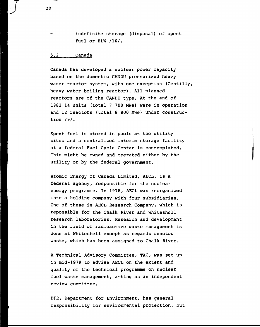indefinite storage (disposal) of spent fuel or HLW /16/.

#### 5.2 Canada

Canada has developed a nuclear power capacity based on the domestic CANDU pressurized heavy wacer reactor system, with one exception (Gentilly, heavy water boiling reactor). All planned reactors are of the CANDU type. At the end of 1982 14 units (total 7 700 MWe) were in operation and 12 reactors (total 8 800 MWe) under construction /9/.

Spent fuel is stored in pools at the utility sites and a centralized interim storage facility at a federal Fuel Cycle Center is contemplated. This might be owned and operated either by the utility or by the federal government.

Atomic Energy of Canada Limited, AECL, is a federal agency, responsible for the nuclear energy programme. In 1978, AECL was reorganized into a holding company with four subsidiaries. One of these is AECL Research Company, which is reponsible for the Chalk River and Whiteshell research laboratories. Research and development in the field of radioactive waste management is done at Whiteshell except as regards reactor waste, which has been assigned to Chalk River.

A Technical Advisory Committee, TAC, was set up in mid-1979 to advise AECL on the extent and quality of the technical programme on nuclear fuel waste management, arting as an independent review committee.

DFE, Department for Environment, has general responsibility for environmental protection, but

 $\int$  20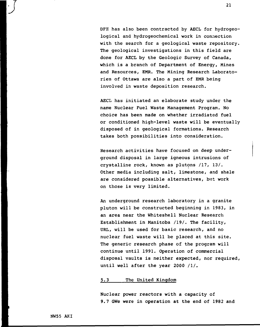DFE has also been contracted by AECL for hydrogeological and hydrogeochemical work in connection with the search for a geological waste repository. The geological investigations in this field are done for AECL by the Geologic Survey of Canada, which is a branch of Department of Energy, Mines and Resources, EMR. The Mining Research Laboratories of Ottawa are also a part of EMR being involved in waste deposition research.

AECL has initiated an elaborate study under the name Nuclear Fuel Waste Management Program. No choice has been made on whether irradiated fuel or conditioned high-level waste will be eventually disposed of in geological formations. Research takes both possibilities into consideration.

Research activities have focused on deep underground disposal in large igneous intrusions of crystalline rock, known as plutons /17, 13/. Other media including salt, limestone, and shale are considered possible alternatives, but work on those is very limited.

An underground research laboratory in a granite pluton will be constructed beginning in 1983, in an area near the Whiteshell Nuclear Research Establishment in Manitoba /19/. The facility, URL, will be used for basic research, and no nuclear fuel waste will be placed at this site. The generic research phase of the program will continue until 1991. Operation of commercial disposal vaults is neither expected, nor required, until well after the year 2000 /I/.

#### 5.3 The United Kingdom

Nuclear power reactors with a capacity of 9.7 GWe were in operation at the end of 1982 and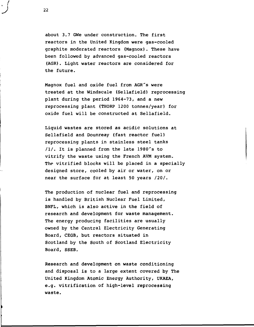about 3.7 GWe under construction. The first reactors in the United Kingdom were gas-cooled graphite moderated reactors (Magnox). These have been followed by advanced gas-cooled reactors (AGR). Light water reactors are considered for the future.

Magnox fuel and oxide fuel from AGR's were treated at the Windscale (Sellafield) reprocessing plant during the period 1964-73, and a new reprocessing plant (THORP 1200 tonnes/year) for oxide fuel will be constructed at Sellafield.

Liquid wastes are stored as acidic solutions at Sellafield and Dounreay (fast reactor fuel) reprocessing plants in stainless steel tanks  $1/1$ . It is planned from the late 1980's to vitrify the waste using the French AVM system. The vitrified blocks will be placed in a specially designed store, cooled by air or water, on or near the surface for at least 50 years /20/.

The production of nuclear fuel and reprocessing is handled by British Nuclear Fuel Limited, BNFL, which is also active in the field of research and development for waste management. The energy producing facilities are usually owned by the Central Electricity Generating Board, CEGB, but reactors situated in Scotland by the South of Scotland Electricity Board, SSEB.

Research and development on waste conditioning and disposal is to a large extent covered by The United Kingdom Atomic Energy Authority, UKAEA, e.g. vitrification of high-level reprocessing waste.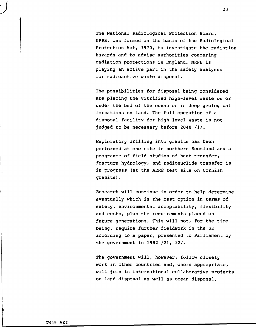The National Radiological Protection Board, NPRB, was formed on the basis of the Radiological Protection Act, 1970, to investigate the radiation hazards and to advise authorities concering radiation protections in England. NRPB is playing an active part in the safety analyses for radioactive waste disposal.

The possibilities for disposal being considered are placing the vitrified high-level waste on or under the bed of the ocean or in deep geological formations on land. The full operation of a disposal facility for high-level waste is not judged to be necessary before 2040 /I/.

Exploratory drilling into granite has been performed at one site in northern Scotland and a programme of field studies of heat transfer, fracture hydrology, and radionuclide transfer is in progress (at the AERE test site on Cornish granite).

Research will continue in order to help determine eventually which is the best option in terms of safety, environmental acceptability, flexibility and costs, plus the requirements placed on future generations. This will not, for the time being, require further fieldwork in the UK according to a paper, presented to Parliament by the government in 1982 /21, 22/.

The government will, however, follow closely work in other countries and, where appropriate, will join in international collaborative projects on land disposal as well as ocean disposal.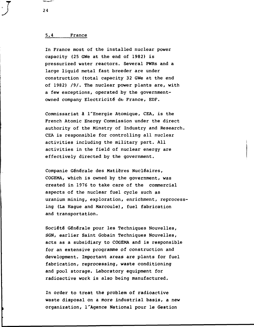#### 5.4 France

In France most of the installed nuclear power capacity (25 GWe at the end of 1982) is pressurized water reactors. Several PWRs and a large liquid metal fast breeder are under construction (total capacity 32 GWe at the end of 1982) /9/. The nuclear power plants are, with a few exceptions, operated by the governmentowned company Electricité de France, EDF.

Commissariat å l'Energie Atomique, CEA, is the French Atomic Energy Commission under the direct authority of the Minstry of Industry and Research. CEA is responsible for controlling all nuclear activities including the military part. All activities in the field of nuclear energy are effectively directed by the government.

Companie Générale des Matiéres Nucléaires, COGEMA, which is owned by the government, was created in 1976 to take care of the commercial aspects of the nuclear fuel cycle such as uranium mining, exploration, enrichment, reprocessing (La Hague and Marcoule), fuel fabrication and transportation.

Société Générale pour les Techniques Nouvelles, SGN, earlier Saint Gobain Techniques Nouvelles, acts as a subsidiary to COGEMA and is responsible for an extensive programme of construction and development. Important areas are plants for fuel fabrication, reprocessing, waste conditioning and pool storage. Laboratory equipment for radioactive work is also being manufactured.

In order to treat the problem of radioactive waste disposal on a more industrial basis, a new organization, l'Agence National pour le Gestion

24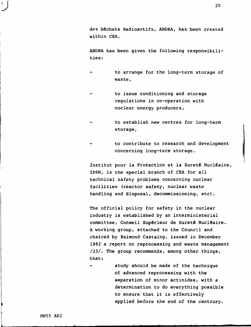des Déchets Radioactifs, ANDRA, has been created within CEA.

ANDRA has been given the following responsibilities:

- to arrange for the long-term storage of waste,
- to issue conditioning and storage regulations in co-operation with nuclear energy producers,
- to establish new centres for long-term storage,
- to contribute to research and development concerning long-term storage.

Institut pour la Protection et la Sureté Nucléaire, IPSN, is the special branch of CEA for all technical safety problems concerning nuclear facilities (reactor safety, nuclear waste handling and disposal, decommissioning, etc).

The official policy for safety in the nuclear industry is established by an interministerial committee, Conseil Supérieur de Sureté Nucléaire. A working group, attached to the Council and chaired by Raimond Castaing, issued in December 1982 a report on reprocessing and waste management /23/. The group recommends, among other things, that:

study should be made of the technique of advanced reprocessing with the separation of minor actinides, with a determination to do everything possible to ensure that it is effectively applied before the end of the centrury.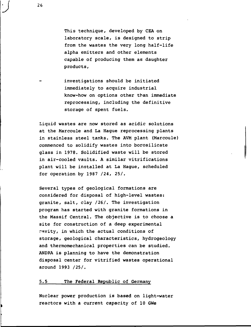This technique, developed by CEA on laboratory scale, is designed to strip from the wastes the very long half-life alpha emitters and other elements capable of producing them as daughter products,

investigations should be initiated immediately to acquire industrial know-how on options other than immediate reprocessing, including the definitive storage of spent fuels.

Liquid wastes are now stored as acidic solutions at the Marcoule and La Hague reprocessing plants in stainless steel tanks. The AVM plant (Marcoule) commenced to solidify wastes into borosilicate glass in 1978. Solidified waste will be stored in air-cooled vaults. A similar vitrifications plant will be installed at La Hague, scheduled for operation by 1987 /24, 25/.

Several types of geological formations are considered for disposal of high-level wastes: granite, salt, clay /26/. The investigation program has started with granite formations in the Massif Central. The objective is to choose a site for construction of a deep experimental cavity, in which the actual conditions of storage, geological characteristics, hydrogeology and thermomechanical properties can be studied. ANDPA is planning to have the demonstration disposal center for vitrified wastes operational around 1993 /25/.

#### 5.5 The Federal Republic of Germany

Nuclear power production is based on light-water reactors with a current capacity of 10 GWe

26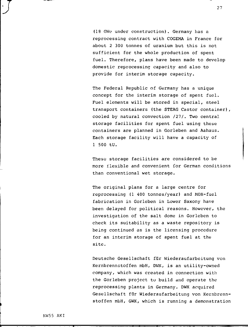(18 GWe under construction). Germany has a reprocessing contract with COGEMA in France for about 2 300 tonnes of uranium but this is not sufficient for the whole production of spent fuel. Therefore, plans have been made to develop domestic reprocessing capacity and also to provide for interim storage capacity.

The Federal Republic of Germany has a unique concept for the interim storage of spent fuel. Fuel elements will be stored in special, steel transport containers (the STEAG Castor container), cooled by natural convection /27/. Two central storage facilities for spent fuel using these containers are planned in Gorleben and Aahaus. Each storage facility will have a capacity of 1 500 tU.

These storage facilities are considered to be more flexible and convenient for German conditions than conventional wet storage.

The original plans for a large centre for reprocessing (1 400 tonnes/year) and MOX-fuel fabrication in Gorleben in Lower Saxony have been delayed for political reasons. However, the investigation of the salt dome in Gorleben to check its suitability as a waste repository is being continued as is the licensing procedure for an interim storage of spent fuel at the site.

Deutsche Gesellschaft fiir Wiederaufarbeitung von Kernbrennctoffen mbH, DWK, is an utility-owned company, which was created in connection with the Gorleben project to build and operate the reprocessing plants in Germany. DWK acquired Gesellschaft fiir Wiederaufarbeitung von Kernbrennstoffen mbH, GWK, which is running a demonstration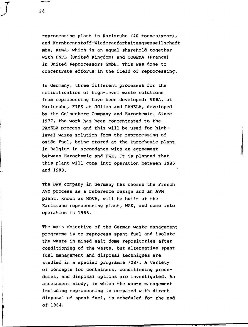reprocessing plant in Karlsruhe (40 tonnes/year), and Kernbrennstoff-Wiederaufarbeitungsgesellschaft mbH, KEWA, which is an equal sharehold together with BNFL (United Kingdom) and COGEMA (France) in United Reprocessors GmbH. This was done to concentrate efforts in the field of reprocessing.

In Germany, three different processes for the solidification of high-level waste solutions from reprocessing have been developed: VERA, at Karlsruhe, FIPS at Jülich and PAMELA, developed by the Gelsenberg Company and Eurochemic. Since 1977, the work has been concentrated to the PAMELA process and this will be used for highlevel waste solution from the reprocessing of oxide fuel, being stored at the Eurochemic plant in Belgium in accordance with an agreement between Eurochemic and DWK. It is planned that this plant will come into operation between 1985 and 1988.

The DWK company in Germany has chosen the French AVM process as a reference design and an AVM plant, known as HOVA, will be built at the Karlsruhe reprocessing plant, WAK, and come into operation in 1986.

The main objective of the German waste management programme is to reprocess spent fuel and isolate the waste in mined salt dome repositories after conditioning of the waste, but alternative spent fuel management and disposal techniques are studied in a special programme /28/. A variety of concepts for containers, conditioning procedures, and disposal options are investigated. An assessment study, in which the waste management including reprocessing is compared with direct disposal of spent fuel, is scheduled for the end of 1984.

28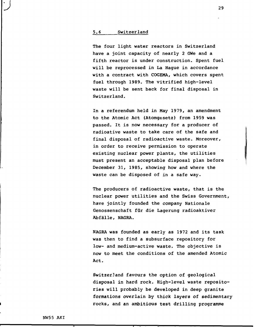#### 5.6 Switzerland

The four light water reactors in Switzerland have a joint capacity of nearly 2 GWe and a fifth reactor is under construction. Spent fuel will be reprocessed in La Hague in accordance with a contract with COGEMA, which covers spent fuel through 1989. The vitrified high-level waste will be sent back for final disposal in Switzerland.

In a referendum held in May 1979, an amendment to the Atomic Act (Atomgesetz) from 1959 was passed. It is now necessary for a producer of radioative waste to take care of the safe and final disposal of radioactive waste. Moreover, in order to receive permission to operate existing nuclear power plants, the utilities must present an acceptable disposal plan before December 31, 1985, showing how and where the waste can be disposed of in a safe way.

The producers of radioactive waste, that is the nuclear power utilities and the Swiss Government, have jointly founded the company Nationale Genossenschaft für die Lagerung radioaktiver Abfälle, NAGRA.

NAGRA was founded as early as 1972 and its task was then to find a subsurface repository for low- and medium-active waste. The objective is now to meet the conditions of the amended Atomic Act.

Switzerland favours the option of geological disposal in hard rock. High-level waste repositories will probably be developed in deep granite formations overlain by thick layers of sedimentary rocks, and an ambitious test drilling programme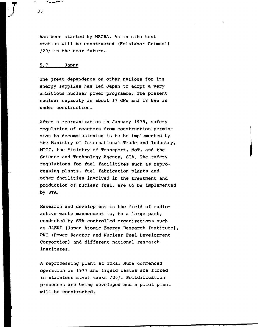has been started by NAGRA. An in situ test station will be constructed (Felslabor Grimsel) /29/ in the near future.

#### 5.7 Japan

The great dependence on other nations for its energy supplies has led Japan to adopt a very ambitious nuclear power programme. The present nuclear capacity is about 17 GWe and 18 GWe is under construction.

After a reorganization in January 1979, safety regulation of reactors from construction permission to decommissioning is to be implemented by the Ministry of International Trade and Industry, MITI, the Ministry of Transport, MoT, and the Science and Technology Agency, STA. The safety regulations for fuel facilitites such as reprocessing plants, fuel fabrication plants and other facilities involved in the treatment and production of nuclear fuel, are to be implemented by STA.

Research and development in the field of radioactive waste management is, to a large part, conducted by STA-controlled organizations such as JAERI (Japan Atomic Energy Research Institute), PNC (Power Reactor and Nuclear Fuel Development Corportion) and different national research institutes.

A reprocessing plant at Tokai Mura commenced operation in 1977 and liquid wastes are stored in stainless steel tanks /30/. Solidification processes are being developed and a pilot plant will be constructed.

**J** <sup>30</sup>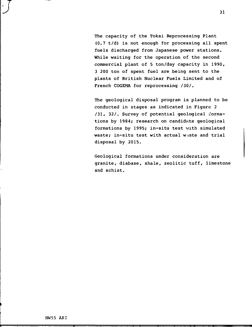The capacity of the Tokai Reprocessing Plant (0.7 t/d) is not enough for processing all spent fuels discharged from Japanese power stations. While waiting for the operation of the second commercial plant of 5 ton/day capacity in 1990, 3 200 ton of spent fuel are being sent to the plants of British Nuclear Fuels Limited and of French COGEMA for reprocessing /30/.

The geological disposal program is planned to be conducted in stages as indicated in Figure 2 /31, 32/. Survey of potential geological formations by 1984; research on candidate geological formations by 1995; in-situ test with simulated waste; in-situ test with actual waste and trial disposal by 2015.

Geological formations under consideration are granite, diabase, shale, zeolitic tuff, limestone and schist.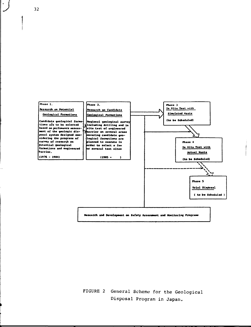

FIGURE 2 General Scheme for the Geological Disposal Program in Japan.

**•J** 32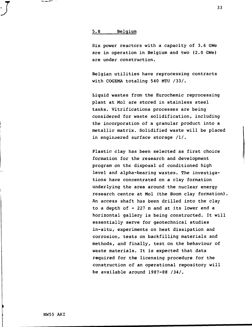#### 5. 8 Belgium

Six power reactors with a capacity of 3.6 GWe are in operation in Belgium and two (2.0 GWe) are under construction.

Belgian utilities have reprocessing contracts with COGEMA totaling 540 MTU /33/.

Liquid wastes from the Eurochemic reprocessing plant at Mol are stored in stainless steel tanks. Vitrifications processes are being considered for waste solidification, including the incorporation of a granular product into a metallic matrix. Solidified waste will be placed in engineered surface storage /I/ .

Plastic clay has been selected as first choice formation for the research and development program on the disposal of conditioned high level and alpha-bearing wastes. The investigations have concentrated on a clay formation underlying the area around the nuclear energy research centre at Mol (the Boom clay formation). An access shaft has been drilled into the clay to a depth of - 227 m and at its lower end a horizontal gallery is being constructed. It will essentially serve for geotechnical studies in-situ, experiments on heat dissipation and corrosion, tests on backfilling materials and methods, and finally, test on the behaviour of waste materials. It is expected that data required for the licensing procedure for the construction of an operational repository will be available around 1987-88 /34/.

NW55 AKI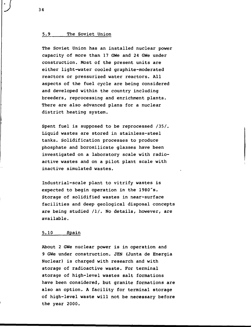#### 5.9 The Soviet Union

The Soviet Union has an installed nuclear power capacity of more than 17 GWe and 24 GWe under construction. Most of the present units are either light-water cooled graphite-moderated reactors or pressurized water reactors. All aspects of the fuel cycle are being considered and developed within the country including breeders, reprocessing and enrichment plants. There are also advanced plans for a nuclear district heating system.

Spent fuel is supposed to be reprocessed /35/. Liquid wastes are stored in stainless-steel tanks. Solidification processes to produce phosphate and borosilicate glasses have been investigated on a laboratory scale with radioactive wastes and on a pilot plant scale with inactive simulated wastes.

Industrial-scale plant to vitrify wastes is expected to begin operation in the 1980's. Storage of solidified wastes in near-surface facilities and deep geological disposal concepts are being studied /I/. No details, however, are available.

#### 5.10 Spain

About 2 GWe nuclear power is in operation and 9 GWe under construction. JEN (Junta de Energia Nuclear) is charged with research and with storage of radioactive waste. For terminal storage of high-level wastes salt formations have been considered, but granite formations are also an option. A facility for terminal storage of high-level waste will not be necessary before the year 2000.

**•J** 34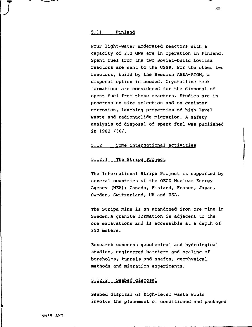#### 5.11 Finland

Four light-water moderated reactors with a capacity of 2.2 GWe are in operation in Finland. Spent fuel from the two Soviet-build Loviisa reactors are sent to the USSR. For the other two reactors, build by the Swedish ASEA-ATOM, a disposal option is needed. Crystalline rock formations are considered for the disposal of spent fuel from these reactors. Studies are in progress on site selection and on canister corrosion, leaching properties of high-level waste and radionuclide migration. A safety analysis of disposal of spent fuel was published in 1982 /36/.

#### 5.12 Some international activities

# 5.12.1 The Stripa Project

The International Stripa Project is supported by several countries of the OECD Nuclear Energy Agency (NEA): Canada, Finland, France, Japan, Sweden, Switzerland, UK and USA.

The Stripa mine is an abandoned iron ore mine in Sweden.A granite formation is adjacent to the ore excavations and is accessible at a depth of 350 meters.

Research concerns geochemical and hydrological studies, engineered barriers and sealing of boreholes, tunnels and shafts, geophysical methods and migration experiments.

# 5.12.2\_\_Seabed\_disposal

Seabed disposal of high-level waste would involve the placement of conditioned and packaged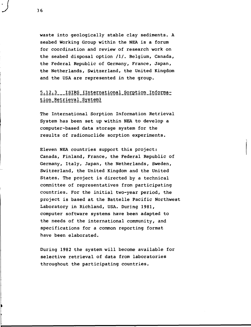waste into geologically stable clay sediments. A seabed Working Group within the NEA is a forum for coordination and review of research work on the seabed disposal option /I/. Belgium, Canada, the Federal Republic of Germany, France, Japan, the Netherlands, Switzerland, the United Kingdom and the USA are represented in the group.

# 5.12.3 \_\_ ISIRS (International Sorption Information Retrieval System)

The International Sorption Information Retrieval System has been set up within NEA to develop a computer-based data storage system for the results of radionuclide sorption experiments.

Eleven NEA countries support this project: Canada, Finland, France, the Federal Republic of Germany, Italy, Japan, the Netherlands, Sweden, Switzerland, the United Kingdom and the United States. The project is directed by a technical committee of representatives from participating countries. For the initial two-year period, the project is based at the Battelle Pacific Northwest Laboratory in Richland, USA. During 1981, computer software systems have been adapted to the needs of the international community, and specifications for a common reporting format have been elaborated.

During 1982 the system will become available for selective retrieval of data from laboratories throughout the participating countries.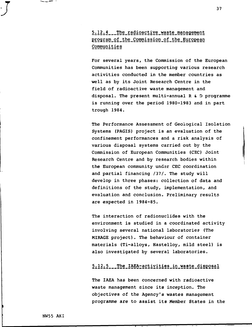5.12.4 The radioactive waste management program of the Commission of the European Communities

For several years, the Commission of the European Communities has been supporting various research activities conducted in the member countries as well as by its Joint Research Centre in the field of radioactive waste management and disposal. The present multi-annual R & D programme is running over the period 1980-1983 and in part trough 1984.

The Performance Assessment of Geological Isolation Systems (PAGIS) project is an evaluation of the confinement performances and a risk analysis of various disposal systems carried out by the Commission of European Communities (CEC) Joint Research Centre and by research bodies within the European community under CEC coordination and partial financing /37/. The study will develop in three phases: collection of data and definitions of the study, implementation, and evaluation and conclusion. Preliminary results are expected in 1984-85.

The interaction of radionuclides with the environment is studied in a coordinated activity involving several national laboratories (The MIRAGE project). The behaviour of container materials (Ti-alloys, Hastelloy, mild steel) is also investigated by several laboratories.

# 5.12.5 The IAEA-activities in waste disposal

The IAEA has been concerned with radioactive waste management since its inception. The objectives of the Agency's wastes management programme are to assist its Member States in the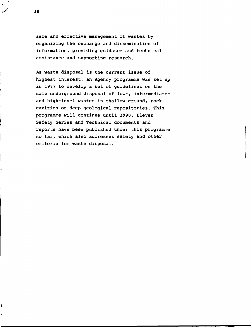safe and effective management of wastes by organizing the exchange and dissemination of information, providing guidance and technical assistance and supporting research.

As waste disposal is the current issue of highest interest, an Agency programme was set up in 1977 to develop a set of guidelines on the safe underground disposal of low-, intermediateand high-level wastes in shallow ground, rock cavities or deep geological repositories. This programme will continue until 1990. Eleven Safety Series and Technical documents and reports have been published under this programme so far, which also addresses safety and other criteria for waste disposal.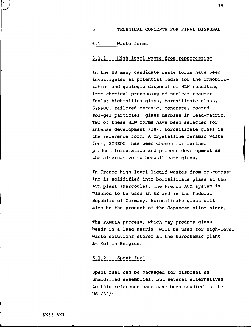#### 6 TECHNICAL CONCEPTS FOR FINAL DISPOSAL

### 6.1 Waste forms

# 6.1.1 \_\_ High-level waste from reprocessing

In the US many candidate waste forms have been investigated as potential media for the immobilization and geologic disposal of HLW resulting from chemical processing of nuclear reactor fuels: high-silica glass, borosilicate glass, SYNROC, tailored ceramic, concrete, coated sol-gel particles, glass marbles in lead-matrix. Two of these HLW forms have been selected for intense development /38/. Borosilicate glass is the reference form. A crystalline ceramic waste form, SYNROC, has been chosen for further product formulation and process development as the alternative to borosilicate glass.

In France high-level liquid wastes from reprocessing is solidified into borosilicate glass at the AVM plant (Marcoule). The French AVM system is planned to be used in UK and in the Federal Republic of Germany. Borosilicate glass will also be the product of the Japanese pilot plant.

The PAMELA process, which may produce glass beads in a lead matrix, will be used for high-level waste solutions stored at the Eurochemic plant at Mol in Belgium.

# $6.1.2$   $–$  Spent fuel

Spent fuel can be packaged for disposal as unmodified assemblies, but several alternatives to this reference case have been studied in the US /39/: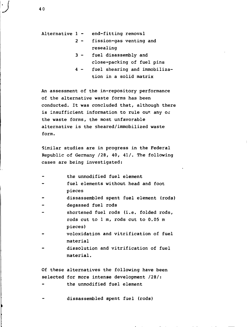Alternative 1 - end-fitting removal

- 2 fission-gas venting and resealing
- 3 fuel disassembly and close-packing of fuel pins
- 4 fuel shearing and immobilization in a solid matrix

An assessment of the in-repository performance of the alternative waste forms has been conducted. It was concluded that, although there is insufficient information to rule out any or the waste forms, the most unfavorable alternative is the sheared/immobilized waste form.

Similar studies are in progress in the Federal Republic of Germany /28, 40, 41/. The following cases are being investigated:

- the unmodified fuel element
- fuel elements without head and foot pieces
- dissassembled spent fuel element (rods)
- degassed fuel rods
- shortened fuel rods (i.e. folded rods, rods cut to 1 m, rods cut to 0.05 m pieces)
- voloxidation and vitrification of fuel material
- dissolution and vitrification of fuel material.

Of these alternatives the following have been selected for more intense development /28/:

the unmodified fuel element

dissassembled spent fuel (rods)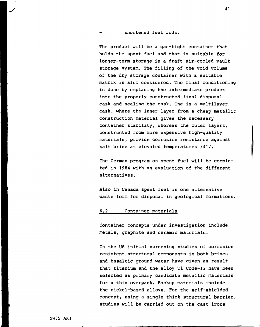#### shortened fuel rods.

The product will be a gas-tight container that holds the spent fuel and that is suitable for longer-term storage in a draft air-cooled vault storage system. The filling of the void volume of the dry storage container with a suitable matrix is also considered. The final conditioning is done by emplacing the intermediate product into the properly constructed final disposal cask and sealing the cask. One is a multilayer cask, where the inner layer from a cheap metallic construction material gives the necessary container stability, whereas the outer layers, constructed from more expensive high-quality materials, provide corrosion resistance against salt brine at elevated temperatures /41/.

The German program on spent fuel will be completed in 1984 with an evaluation of the different alternatives.

Also in Canada spent fuel is one alternative waste form for disposal in geological formations.

#### 6.2 Container materials

Container concepts under investigation include metals, graphite and ceramic materials.

In the US initial screening studies of corrosion resistent structural components in both brines and basaltic ground water have given as result that titanium and the alloy Ti Code-12 have been selected as primary candidate metallic materials for a thin overpack. Backup materials include the nickel-based alloys. For the self-shielded concept, using a single thick structural barrier, studies will be carried out on the cast irons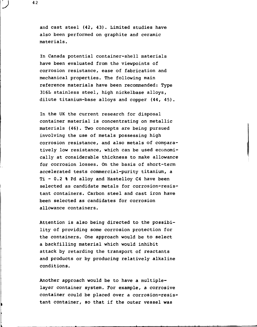and cast steel (42, 43). Limited studies have also been performed on graphite and ceramic materials.

In Canada potential container-shell materials have been evaluated from the viewpoints of corrosion resistance, ease of fabrication and mechanical properties. The following main reference materials have been recommended: Type 316L stainless steel, high nickelbase alloys, dilute titanium-base alloys and copper (44, 45).

In the UK the current research for disposal container material is concentrating on metallic materials (46) . Two concepts are being pursued involving the use of metals possessing high corrosion resistance, and also metals of comparatively low resistance, which can be used economically at considerable thickness to make allowance for corrosion losses. On the basis of short-term accelerated tests commercial-purity titanium, a Ti - 0.2 % Pd alloy and Hastelloy C4 have been selected as candidate metals for corrosion-resistant containers. Carbon steel and cast iron have been selected as candidates for corrosion allowance containers.

Attention is also being directed to the possibility of providing some corrosion protection for the containers. One approach would be to select a backfilling material which would inhibit attack by retarding the transport of reactants and products or by producing relatively alkaline conditions.

Another approach would be to have a multiplelayer container system. For example, a corrosive container could be placed over a corrosion-resistant container, so that if the outer vessel was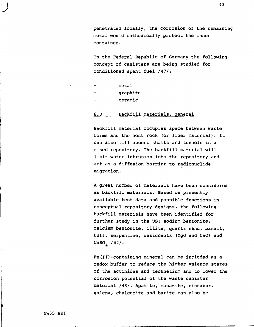penetrated locally, the corrosion of the remaining metal would cathodically protect the inner container.

In the Federal Republic of Germany the following concept of canisters are being studied for conditioned spent fuel /47/:

- metal
- graphite
- ceramic

#### 6.3 Backfill materials, general

Backfill material occupies space between waste forms and the host rock (or liner material). It can also fill access shafts and tunnels in a mined repository. The backfill material will limit water intrusion into the repository and act as a diffusion barrier to radionuclide migration.

A great number of materials have been considered as backfill materials. Based on presently available test data and possible functions in conceptual repository designs, the following backfill materials have been identified for further study in the US: sodium bentonite, calcium bentonite, illite, quartz sand, basalt, tuff, serpentine, desiccants (MgO and CaO) and CaSO $_4$  /42/.

Fe(II)-containing mineral can be included as a redox buffer to reduce the higher valence states of the actinides and technetium and to lower the corrosion potential of the waste canister material /48/. Apatite, monazite, cinnabar, galena, chalcocite and barite can also be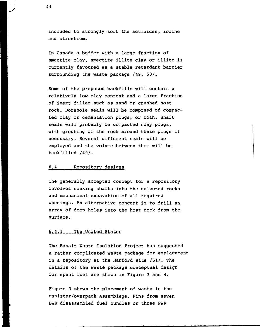included to strongly sorb the actinides, iodine and strontium.

In Canada a buffer with a large fraction of smectite clay, smectite-illite clay or illite is currently favoured as a stable retardant barrier surrounding the waste package /49, 50/.

Some of the proposed backfills will contain a relatively low clay content and a large fraction of inert filler such as sand or crushed host rock. Borehole seals will be composed of compacted clay or cementation plugs, or both. Shaft seals will probably be compacted clay plugs, with grouting of the rock around these plugs if necessary. Several different seals will be employed and the volume between them will be backfilled /49/.

#### 6.4 Repository designs

The generally accepted concept for a repository involves sinking shafts into the selected rocks and mechanical excavation of all required openings. An alternative concept is to drill an array of deep holes into the host rock from the surface.

# 6.4.1 \_\_\_\_ The United States

The Basalt Waste Isolation Project has suggested a rather complicated waste package for emplacement in a repository at the Hanford site /51/. The details of the waste package conceptual design for spent fuel are shown in Figure 3 and 4.

Figure 3 shows the placement of waste in the canister/overpack assemblage. Pins from seven BWR disassembled fuel bundles or three PWR

44

**•J**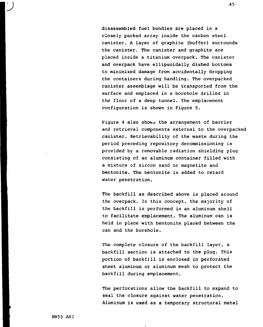disassembled fuel bundles are placed in a closely packed array inside the carbon steel canister. A layer of graphite (buffer) surrounds the canister. The canister and graphite are placed inside a titanium overpack. The canister and overpack have ellipsoidally dished bottoms to minimized damage from accidentally dropping the containers during handling. The overpacked canister assemblage will be transported from the surface and emplaced in a borehole drilled in the floor of a deep tunnel. The emplacement configuration is shown in Figure 5.

Figure 4 also shows the arrangement of barrier and retrieval components external to the overpacked canister. Retrievability of the waste during the period preceding repository decommissioning is provided by a removable radiation shielding plug consisting of an aluminum container filled with a mixture of zircon sand or magnetite and bentonite. The bentonite is added to retard water penetration.

The backfill as described above is placed around the overpack. In this concept, the majority of the backfill is performed in an aluminum shell to facilitate emplacement. The aluminum can is held in place with bentonite placed between the can and the borehole.

The complete closure of the backfill layer, a backfill section is attached to the plug. This portion of backfill is enclosed in perforated sheet aluminum or aluminum mesh to protect the backfill during emplacement.

The perforations allow the backfill to expand to seal the closure against water penetration. Aluminum is used as a temporary structural metal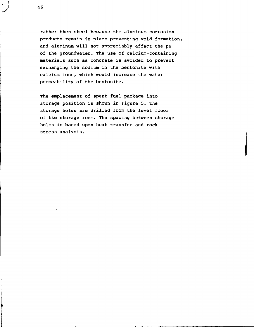rather then steel because the aluminum corrosion products remain in place preventing void formation, and aluminum will not appreciably affect the pH of the groundwater. The use of calcium-containing materials such as concrete is avoided to prevent exchanging the sodium in the bentonite with calcium ions, which would increase the water permeability of the bentonite.

The emplacement of spent fuel package into storage position is shown in Figure 5. The storage holes are drilled from the level floor of the storage room. The spacing between storage holes is based upon heat transfer and rock stress analysis.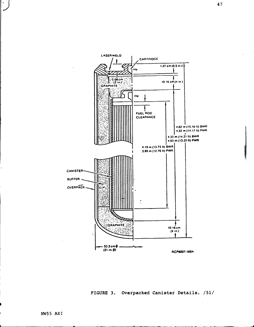



 $\hat{\boldsymbol{\cdot}$ 

 $\vert \cdot \vert$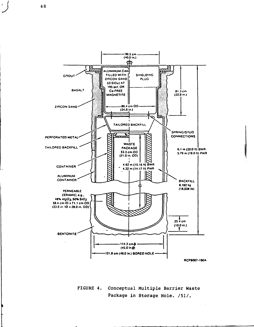**-96.S cm (40.0 in.)** क़ Jaag **ALUMINUM CAN FILLEO WITH SHIELDING** cnour **ZIRCON SANO** PLUG **(ZrS.CUl AT 19S pel. OR 8ASALT C«FRE£** 81.3 cm **MAGNETITE**  $(32.0 in.)$ **66.4 cm OO ZIRCON SANO (34.0 in.)** ضط **TAILORED BACKFILL SPRING/S TUO** <u>t med</u> **CONNECTIONS PERFORATEO METAL WASTE TAILOREO BACKFILL PACKAGE 6.1 m (20.0 ft) BWR S3.3 cm 0 0 5.79 m (19.0 It) PWR (21.0 m. O0| 4.62 m (15.16 ft) BWR CONTAINER 4.32 m (14.17 (t) PWR ALUMINUM CONTAINER BACKFILL 8.162 kg (18.0381b) PERMEABLE CERAMIC; e.g.. 48% AI2O3.50% S1O2 58.4 cm ID K 71.1 cm 0 0 (23 0 in. IO K 28.0 in. 00)** L  $25.4 cm$  $(10.0 in.)$ t **BENTONITE** -114.3 стф-(45.0 in  $\phi$ ) **121.9 cm (48.0 In.) BOREO HOLE RCP8OO7-190A**

> FIGURE 4. Conceptual Multiple Barrier Waste Package in Storage Hole. /51/.

**•J** <sup>48</sup>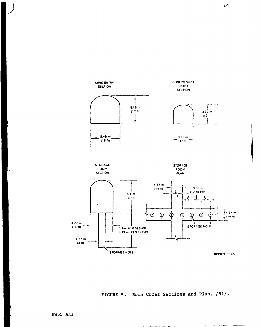

FIGURE 5. Room Cross Sections and Plan. /51/

 $\blacksquare$ 

 $\omega_{\rm{eff}} = \omega_{\rm{eff}} + \omega_{\rm{eff}} + \omega_{\rm{eff}}$ 

منعا بالم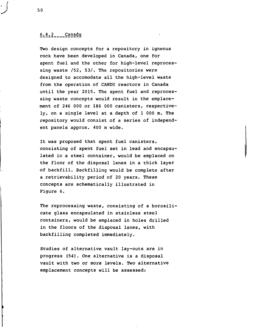# $6.4.2$  Canada

Two design concepts for a repository in igneous rock have been developed in Canada, one for spent fuel and the other for high-level reprocessing waste /52, 53/. The repositories were designed to accomodate all the high-level waste from the operation of CANDU reactors in Canada until the year 2015. The spent fuel and reprocessing waste concepts would result in the emplacement of 246 000 or 186 000 canisters, respectively, on a single level at a depth of 1 000 m. The repository would consist of a series of independent panels approx. 400 m wide.

It was proposed that spent fuel canisters, consisting of spent fuel set in lead and encapsulated in a steel container, would be emplaced on the floor of the disposal lanes in a thick layer of backfill. Backfilling would be complete after a retrievability period of 20 years. These concepts are schematically illustrated in Figure 6.

The reprocessing waste, consisting of a borosilicate glass encapsulated in stainless steel containers, would be emplaced in holes drilled in the floors of the disposal lanes, with backfilling completed immediately.

Studies of alternative vault lay-outs are in progress (54). One alternative is a disposal vault with two or more levels. Two alternative emplacement concepts will be assessed: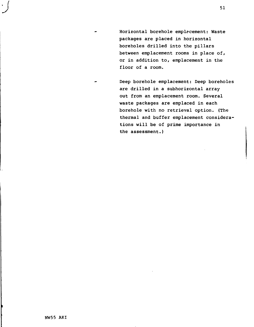Horizontal borehole emplacement: Waste packages are placed in horizontal boreholes drilled into the pillars between emplacement rooms in place of, or in addition to, emplacement in the floor of a room.

Deep borehole emplacement: Deep boreholes are drilled in a subhorizontal array out from an emplacement room. Several waste packages are emplaced in each borehole with no retrieval option. (The thermal and buffer emplacement considerations will be of prime importance in the assessment.)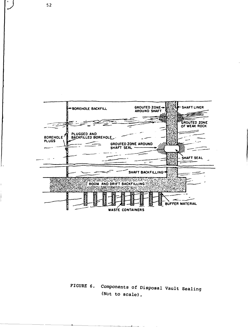

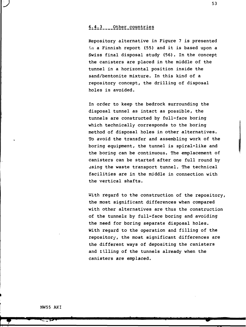# 6.4.3 Other countries

Repository alternative in Figure 7 is presented in a Finnish report (55) and it is based upon a Swiss final disposal study (56). In the concept the canisters are placed in the middle of the tunnel in a horizontal position inside the sand/bentonite mixture. In this kind of a repository concept, the drilling of disposal holes is avoided.

In order to keep the bedrock surrounding the disposal tunnel as intact as possible, the tunnels are constructed by full-face boring which technically corresponds to the boring method of disposal holes in other alternatives. To avoid the transfer and assembling work of the boring equipment, the tunnel is spiral-like and the boring can be continuous. The emplacement of canisters can be started after one full round by using the waste transport tunnel. The technical facilities are in the middle in connection with the vertical shafts.

With regard to the construction of the repository, the most significant differences when compared with other alternatives are thus the construction of the tunnels by full-face boring and avoiding the need for boring separate disposal holes. With regard to the operation and filling of the repository, the most significant differences are the different ways of depositing the canisters and tilling of the tunnels already when the canisters are emplaced.

**•J** <sup>53</sup>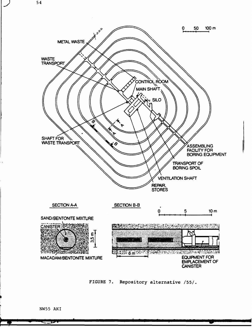

FIGURE 7. Repository alternative /55/.

**Kana**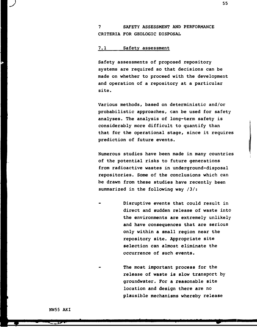**7 SAFETY ASSESSMENT AND PERFORMANCE CRITERIA FOR GEOLOGIC DISPOSAL**

#### **7.1 Safety assessment**

**Safety assessments of proposed repository systems are required so that decisions can be made on whether to proceed with the development and operation of a repository at a particular site.**

**Various methods, based on deterministic and/or probabilistic approaches, can be used for safety analyses. The analysis of long-term safety is considerably more difficult to quantify than that for the operational stage, since it requires prediction of future events.**

**Numerous studies have been made in many countries of the potential risks to future generations from radioactive wastes in underground-disposal repositories. Some of the conclusions which can be drawn from these studies have recently been summarized in the following way /3/:**

**Disruptive events that could result in direct and sudden release of waste into the environments are extremely unlikely and have consequences that are serious only within a small region near the repository site. Appropriate site selection can almost eliminate the occurrence of such events.**

> **The most important process for the release of waste is slow transport by groundwater. For a reasonable site location and design there are no plausible mechanisms whereby release**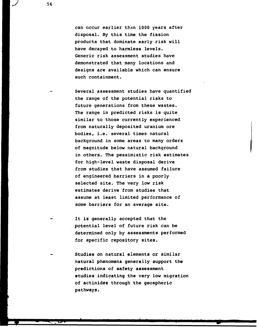**can cccur earlier than 1000 years after disposal. By this time the fission products that dominate early risk will have decayed to harmless levels. Generic risk assessment studies have demonstrated that many locations and designs are available which can ensure such containment.**

**Several assessment studies have quantified the range of the potential risks to future generations from these wastes. The range in predicted risks is quite similar to those currently experienced from naturally deposited uranium ore bodies, i.e. several times natural background in some areas to many orders of magnitude below natural background in others. The pessimistic risk estimates for high-level waste disposal derive from studies that have assumed failure of engineered barriers in a poorly selected site. The very low risk estimates derive from studies that assume at least limited performance of some barriers for an average site.**

- **It is generally accepted that the potential level of future risk can be determined only by assessments performed for specific repository sites.**
- **Studies on natural elements or similar natural phenomena generally support the predictions of safety assessment studies indicating the very low migration of actinides through the geospheric pathways.**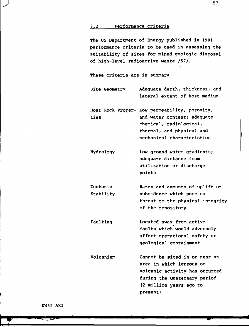#### **7.2 Performance criteria**

**The US Department of Energy published in 1981 performance criteria to be used in assessing the suitability of sites for mined geologic disposal of high-level radioactive waste /57/.**

**These criteria are in summary**

**Site Geometry Adequate depth, thickness, and lateral extent of host medium**

**Host Rock Proper- Low permeability, porosity, ties and water content; adequate chemical, radiological, thermal, and physical and mechanical characteristics**

- **Hydrology Low ground water gradients; adequate distance from utili2ation or discharge points**
- **Tectonic Stability Rates and amounts of uplift or subsidence which pose no threat to the physical integrity of the repository**
- **Faulting Located away from active faults which would adversely affect operational safety or geological containment**
- **Volcanism Cannot be sited in or near an area in which igneous or volcanic activity has occurred during the Quaternary period (2 million years ago to present)**

**NW55 AKI**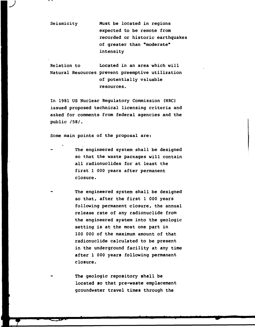**Seismicity Must be located in regions expected to be remote from recorded or historic earthquakes of greater than "moderate" intensity**

**J**

**Relation to Located in an area which will Natural Resources prevent preemptive utilization of potentially valuable resources.**

**In 1981 US Nuclear Regulatory Commission (NRC) issued proposed technical licensing criteria and asked for comments from federal agencies and the public /58/.**

**Some main points of the proposal are:**

- **The engineered system shall be designed so that the waste packages will contain all radionuclides for at least the first 1 000 years after permanent closure.**
- **The engineered system shall be designed so that, after the first 1 000 years following permanent closure, the annual release rate of any radionuclide from the engineered system into the geologic setting is at the most one part in 100 000 of the maximum amount of that radionuclide calculated to be present in the underground facility at any time after 1 000 years following permanent closure.**
- **The geologic repository shall be located so that pre-waste emplacement groundwater travel times through the**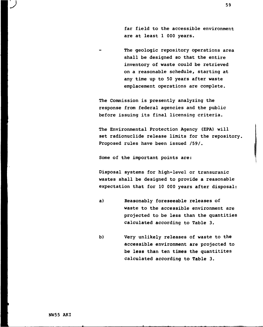**far field to the accessible environment are at least 1 000 years.**

**The geologic repository operations area shall be designed so that the entire inventory of waste could be retrieved on a reasonable schedule, starting at any time up to 50 years after waste emplacement operations are complete.**

**The Commission is presently analyzing the response from federal agencies and the public before issuing its final licensing criteria.**

**The Environmental Protection Agency (EPA) will set radionuclide release limits for the repository, Proposed rules have been issued /59/.**

**Some of the important points are:**

**Disposal systems for high-level or transuranic wastes shall be designed to provide a reasonable expectation that for 10 000 years after disposal:**

- **a) Reasonably foreseeable releases of waste to the accessible environment are projected to be less than the quantities calculated according to Table 3.**
- **b) Very unlikely releases of waste to the accessible environment are projected to be less than ten times the guantitites calculated according to Table 3.**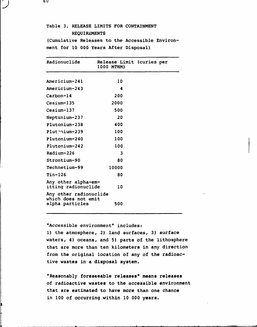# **Table 3. RELEASE LIMITS FOR CONTAINMENT REQUIREMENTS**

**(Cumulative Releases to the Accessible Environment for 10 000 Years After Disposal)**

| Radionuclide                                  | Release Limit (curies per<br>1000 MTHM) |  |
|-----------------------------------------------|-----------------------------------------|--|
| Americium-241                                 | 10                                      |  |
| Americium-243                                 | 4                                       |  |
| Carbon-14                                     | 200                                     |  |
| Cesium-135                                    | 2000                                    |  |
| Cesium-137                                    | 500                                     |  |
| Neptunium-237                                 | 20                                      |  |
| Plutonium-238                                 | 400                                     |  |
| Plutenium-239                                 | 100                                     |  |
| Plutonium-240                                 | 100                                     |  |
| Plutonium-242                                 | 100                                     |  |
| Radium-226                                    | 3                                       |  |
| Strontium-90                                  | 80                                      |  |
| Technetium-99                                 | 10000                                   |  |
| <b>Tin-126</b>                                | 80                                      |  |
| Any other alpha-em-<br>itting radionuclide    | 10                                      |  |
| Any other radionuclide<br>which does not emit |                                         |  |
| alpha particles                               | 500                                     |  |

**"Accessible environment" includes:**

**1) the atmosphere, 2) land surfaces, 3) surface waters, 4) oceans, and 5) parts of the lithosphere that are more than ten kilometers in any direction from the original location of any of the radioactive wastes in a disposal system.**

**"Reasonably foreseeable releases" means releases of radioactive wastes to the accessible environment that are estimated to have more than one chance in 100 of occurring within 10 000 years.**

6 V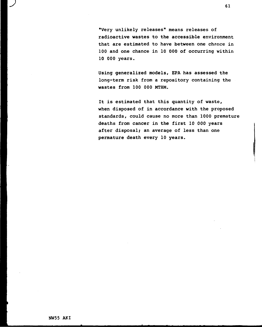**"Very unlikely releases" means releases of radioactive wastes to the accessible environment that are estimated to have between one chance in 100 and one chance in 10 000 of occurring within 10 000 years.**

**Using generalized models, EPA has assessed the long-term risk from a repository containing the wastes from 100 000 MTHM.**

**It is estimated that this quantity of waste, when disposed of in accordance with the proposed standards, could cause no more than 1000 premature deaths from cancer in the first 10 000 years after disposal; an average of less than one permature death every 10 years.**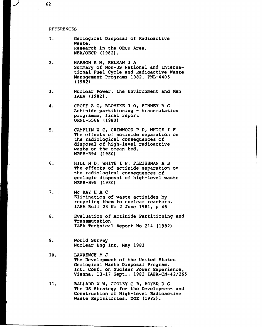#### **REFERENCES**

- **1. Geological Disposal of Radioactive Waste. Research in the OECD Area. NEA/OECD (1982).**
- **2. HARMON K Mr KELMAN J A Summary of Non-US National and International Fuel Cycle and Radioactive Waste Management Programs 1982. PNL-4405 (1982)**
- **3. Nuclear Power, the Environment and Man IAEA (1982).**
- **4. CROFF A G, BLOMEKE J 0, FINNEY B C Actinide partitioning - transmutation programme, final report ORNL-5566 (1980)**
- **5. CAMPLIN W C, GRIMWOOD P D, WHITE I F The effects of actinide separation on the radiological consequences of disposal of high-level radioactive waste on the ocean bed. NRPB-R94 (1980)**
- **6. HILL M D, WHITE I F, FLEISHMAN A B The effects of actinide separation on the radiological consequences of geologic disposal of high-level waste NRPB-R95 (1980)**
- **7. Me KAY H A C Elimination of waste actinides by recycling them to nuclear reactors. IAEA Bull 23 No 2 June 1981, p 46**
- **8. Evaluation of Actinide Partitioning and Transmutation IAEA Technical Report No 214 (1982)**
- **9. World Survey Nuclear Eng Int, May 1983**
- **10. LAWRENCE M J The Development of the United States Geological Waste Disposal Program. Int. Conf. on Nuclear Power Experience, Vienna, 13-17 Sept., 1982 IAEA-CN-42/265**
- **11. BALLARD W W, COOLEY C R, BOYER D G The US Strategy for the Development and Construction of High-level Radioactive Waste Repositories. DOE (1982).**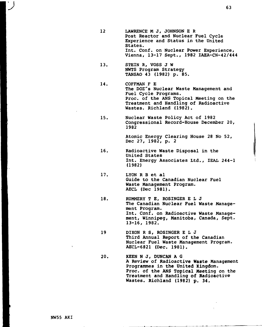- **12 LAWRENCE M J, JOHNSON E R Post Reactor and Nuclear Fuel Cycle Experience and Status in the United States. Int. Conf. on Nuclear Power Experience, Vienna, 13-17 Sept., 1982 IAEA-CN-42/444**
- **13. STEIN R, VOSS J W NWTS Program Strategy TANSAO 43 (1982) p. 85.**
- **14. COFFMAN F E The DOE's Nuclear Waste Management and Fuel Cycle Programs. Proc. of the ANS Topical Meeting on the Treatment and Handling of Radioactive Wastes. Richland (1982).**
- **15. Nuclear Waste Policy Act of 1982 Congressional Record-House December 20, 1982**

**Atomic Energy Clearing House 28 No 52, Dec 27, 1982, p. 2**

- **16, Radioactive Waste Disposal in the United States Int. Energy Associates Ltd., IEAL 244-1 (1982)**
- **17. LYON R B et al Guide to the Canadian Nuclear Fuel Waste Management Program. AECL (Dec 1981).**
- **18, RUMMERY T E, ROSINGER E L J The Canadian Nuclear Fuel Waste Management Program. Int. Conf. on Radioactive Waste Management, Winnipeg, Manitoba, Canada, Sept. 13-16, 1982.**
- **19 DIXON R S, ROSINGER E L J Third Annual Report of the Canadian Nuclear Fuel Waste Management Program. AECL-6821 (Dec. 1981).**
- **20. KEEN N J, DUNCAN A G A Review of Radioactive Waste Management Programmes in the United Kingdom. Proc. of the ANS Topical Meeting on the Treatment and Handling of Radioactive Wastes. Richland (1982) p. 34.**

**NW55 AKI**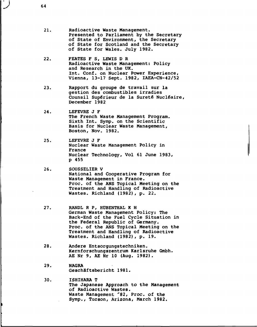- **21. Radioactive Waste Management. Presented to Parliament by the Secretary of State of Environment, the Secretary of State for Scotland and the Secretary of State for Wales. July 1982.**
- **22. FEATES F S, LEWIS D R Radioactive Waste Management: Policy and Research in the UK. Int. Conf. on Nuclear Power Experience, Vienna, 13-17 Sept. 1982, IAEA-CN-42/52**
- **23. Rapport du groupe de travail sur la gestion des combustibles irradies Counsil Supérieur de la Sureté Nucléaire, December 1982**
- **24. LEFEVRE J F The French Waste Management Program. Sixth Int. Symp. on the Scientific Basis for Nuclear Waste Management, Boston, Nov. 1982.**
- **25. LEFEVRE J F Nuclear Waste Management Policy in France Nuclear Technology, Vol 61 June 1983, p 455**
- **26. SOUSSELIER V National and Cooperative Program for Waste Management in France. Proc. of the ANS Topical Meeting on the Treatment and Handling of Radioactive Wastes. Richland (1982), p. 22.**
- **27. RANDL R P, HUBENTHAL K H German Waste Management Policy: The Back-End of the Fuel Cycle Situation in the Federal Republic of Germany. Proc. of the ANS Topical Meeting on the Treatment and Handling of Radioactive Wastes. Richland (1982), p. 19.**
- **28. Andere Entsorgungstechniken. Kernforschungszentrum Karlsruhe Gmbh. AE Nr 9, AE Nr 10 (Aug. 1982).**
- **29. NAGRA Geschäftsbericht 1981.**
- **30. ISHIHARA T The Japanese Approach to the Management of Radioactive Wastes. Waste Management '82, Proc. of the Symp., Tucson, Arizona, March 1982.**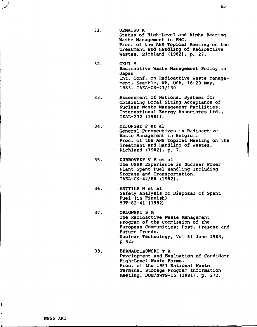- **31. UEMATSU K Status of High-Level and Alpha Bearing Waste Management in PNC. Proc. of the ANS Topical Meeting on the Treatment and Handling of Radioactive Wastes. Richland (1982), p. 27.**
- **32. OKUI Y Radioactive Waste Management Policy in Japan Int. Conf. on Radioactive Waste Management, Seattle, WA, USA, 16-20 May, 1983. IAEA-CN-43/130**
- **33. Assessment of National Systems for Obtaining Local Siting Acceptance of Nuclear Waste Management Facilities. International Energy Associates Ltd., IEAL-232 (1981).**
- **34. DEJONGHE P et al General Perspectives in Radioactive Waste Management in Belgium. Proc. of the ANS Topical Meeting on the Treatment and Handling of Wastes. Richland (1982), p. 7.**
- **35. DUBROVSKY V M et al The USSR Experience in Nuclear Power Plant Spent Fuel Handling Including Storage and Transportation. IAEA-CN-42/88 (1982).**
- **36. ANTTILA M et al Safety Analysis of Disposal of Spent Fuel (in Finnish) YJT-82-41 (1982)**
- **37. ORLOWSKI S M The Radioactive Waste Management Program of the Commission of the European Communities: Post, Present and Future Trends. Nuclear Technology, Vol 61 June 1983, p 423**
- **38. BERNADZIKOWSKI T A Development and Evaluation of Candidate High-Level Waste Forms. Proc. of the 1981 National Waste Terminal Storage Program Information Meeting. DOE/NWTS-15 (1981), p. 272.**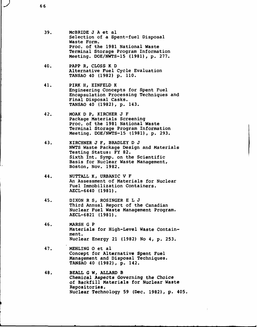- **39. McBRIDE J A et al Selection of a Spent-fuel Disposal Waste Form. Proc. of the 1981 National Waste Terminal Storage Program Information Meeting. DOE/NWTS-15 (1981), p. 277.**
- **40. PAPP R, CLOSS K D Alternative Fuel Cycle Evaluation TANSAO 40 (1982) p. 110.**
- **41. PIRK H, EINFELD K Engineering Concepts for Spent Fuel Encapsulation Processing Techniques and Final Disposal Casks. TANSAO 40 (1982), p. 143.**
- **42. MOAK D P, KIRCHER J F Package Materials Screening Proc. of the 1981 National Waste Terminal Storage Program Information Meeting. DOE/NWTS-15 (1981), p. 293.**
- **43. KIRCHNER J F, BRADLEY D J NWTS Waste Package Design and Materials Testing Status: FY 82. Sixth Int. Symp. on the Scientific Basis for Nuclear Waste Management, Boston, Nov. 1982.**
- **44. NUTTALL K, URBANIC V F An Assessment of Materials for Nuclear Fuel Immobilization Containers. AECL-6440 (1981).**
- **45. DIXON R S, ROSINGER E L J Third Annual Report of the Canadian Nuclear Fuel Waste Management Program. AECL-6821 (1981).**
- **46. MARSH G P Materials for High-Level Waste Containment. Nuclear Energy 21 (1982) No 4, p. 253.**
- **47. MEHLING O et al Concept for Alternative Spent Fuel Management and Disposal Techniques. TANSAO 40 (1982), p. 142.**
- **48. BEALL G W, ALLARD B Chemical Aspects Governing the Choice of Backfill Materials for Nuclear Waste Repositories. Nuclear Technology 59 (Dec. 1982), p. 405.**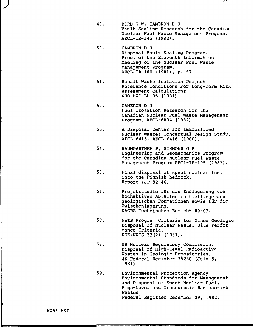- 49. BIRD G W, CAMERON D J Vault Sealing Research for the Canadian Nuclear Fuel Waste Management Program. AECL-TR-145 (1982).
- 50. CAMERON D J Disposal Vault Sealing Program. Proc. of the Eleventh Information Meeting of the Nuclear Fuel Waste Management Program. AECL-TR-180 (1981), p. 57.
- 51. Basalt Waste Isolation Project Reference Conditions For Long-Term Risk Assessment Calculations RHO-BWI-LD-36 (1981)
- 52. CAMERON D J Fuel Isolation Research for the Canadian Nuclear Fuel Waste Management Program. AECL-6834 (1982).
- 53. A Disposal Center for Immobilized Nuclear Waste: Conceptual Design Study. AECL-6415, AECL-6416 (1980).
- 54. BAUMGARTNER P, SIMMONS G R Engineering and Geomechanics Program for the Canadian Nuclear Fuel Waste Management Program AECL-TR-195 (1982).
- 55. Final disposal of spent nuclear fuel into the Finnish bedrock. Report YJT-82-46.
- 56. Projektstudie filr die Endlagerung von hochaktiven Abfällen in tiefliegenden geologischen Formationen sowie för die Zwischenlagerung. NAGRA Technisches Bericht 80-02.
- 57. NWTS Program Criteria for Mined Geologic Disposal of Nuclear Waste. Site Performance Criteria. DOE/NWTS-33(2) (1981).
- 58. US Nuclear Regulatory Commission. Disposal of High-Level Radioactive Wastes in Geologic Repositories. 46 Federal Register 35280 (July 8, 1981).
- 59. Environmental Protection Agency Environmental Standards for Management and Disposal of Spent Nuclear Fuel, High-Level and Transuranic Radioactive Wastes Federal Register December 29, 1982.

 $\mathbf{v}$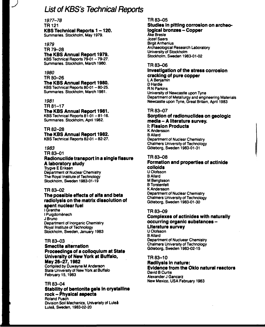# **List of KBS's Technical Reports**

**1977-78 TR121 KBS Technical Reports 1-120. Summaries. Stockholm, May 1979.**

## **1979**

**J**

**TR 79-28 The KBS Annual Report 1979.**

**KBS Technical Reports 79-01 - 79-27. Summaries. Stockholm, March 1980.**

### **1980**

**TR 80-26**

# **The KBS Annual Report 1980.**

**KBS Technical Reports 80-01 -80-25. Summaries. Stockholm, March 1981.**

### *1981*

**TR 81-17**

### **The KBS Annual Report 1981.**

**KBS Technical Reports 81-01 -81-16. Summaries. Stockholm, April 1982.**

### **TR 82-28**

**The KBS Annual Report 1982. KBS Technical Reports 82-01 -82-27.**

### *1983*

**TR 83-01**

#### **Radionuclide transport in a single fissure A laboratory study Trygve E Eriksen**

**Department of Nuclear Chemistry The Royal Institute of Technology Stockholm, Sweden 1983-01-19**

### **TR 83-02**

# **The possible effects of alfa and beta radiolysis on the matrix dissolution of spent nuclear fuel**

**I Grenthe I Puigdoménech J Bruno Department of Inorganic Chemistry Royal Institute of Technology Stockholm, Sweden, January 1983**

### **TR 83-03**

### **Smectite alternation Proceedings of a colloquium at State University of New York at Buffalo, May 26-27,1982**

**Compiled by Duwayne M Anderson State University of New York at Buffalo February 15,1983**

### **TR 83-04**

# **Stability of bentonite gels in crystalline rock - Physical aspects**

**Roland Pusch Division Soil Mechanics, Univeristy of Luleå Luleå, Sweden, 1983-02-20**

### **TR 83-05**

### **Studies in pitting corrosion on archeological bronzes - Copper**

**Åke Bresle Jozef Saers Birgit Arrhenius Archaeological Research Laboratory University of Stockholm Stockholm, Sweden 1983-01-02**

#### **TR 83-06**

#### **Investigation of the stress corrosion cracking of pure copper LA Benjamin**

**DHardie R N Parkins University of Newcastle upon Tyne Department of Metallurgy and engineering Materials Newcastle upon Tyne, Great Britain, April 1983**

### **TR 83-07**

### **Sorption of radionuclides on geologic media - A literature survey. I: Fission Products**

**K Andersson BAIIard Department of Nuclear Chemistry Chalmers University of Technology Göteborg, Sweden 1983-01-31**

### **TR 83-08**

#### **Formation and properties of actinide colloids U Olofsson BAIIard**

**M Bengtsson B Torstenfelt K Andersson Department of Nuclear Chemistry Chalmers University of Technology Göteborg, Sweden 1983-01-30**

### **TR 83-09**

### **Complexes of actinides with naturally occurring organic substances - Literature survey**

**U Olofsson BAIIard Department of Nucluear Chemistry Chalmers University of Technology Göteborg, Sweden 1983-02-15**

### **TR 83-10**

### **Radilysis in nature: Evidence from the Oklo natural reactors David B Curtis Alexander J Gancarz**

**New Mexico, USA February 1983**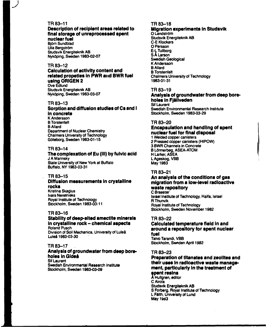### **TR 83-11**

**J**

### **Description of recipient areas related to final storage of unreprocessed spent nuclear fuel**

**Björn Sundblad Ulla Bergström Studsvik Energiteknik AB Nyköping. Sweden 1983-02-07**

#### **TR 83-12**

#### **Calculation of activity content and related propeties in PWR and BWR fuel using ORIGEN 2 Ove Edlund**

**Studsvik Energiteknik AB Nyköping. Sweden 1983-03-07**

#### **TR 83-13**

#### **Sorption and diffusion studies of Cs and I in concrete K Andersson B Torstenfelt BAIIard**

**Department of Nuclear Chemistry Chalmers University of Technology Göteborg, Sweden 1983-01-15**

#### **TR 83-14**

#### **The complexation of Eu (III) by fulvic acid J A Marinsky State University of New York at Buffalo Buffalo, NY 1983-03-31**

#### **TR 83-15**

# **Diffusion measurements in crystalline rocks Kristina Skagius**

**Ivars Neretnieks Royal Institute of Technology Stockholm, Sweden 1983-03-11**

#### **TR 83-16**

#### **Stability of deep-sited smectite minerals in crystalline rock - chemical aspects Roland Pusch**

**Division of Soil Mechanics, University of Luleå Luleå 1983-03-30**

### **TR 83-17 .**

### **Analysis of groundwater from deep boreholes in Gideå**

**Sif Laurent Swedish Environmental Research Institute Stockholm, Sweden 1983-03-09**

#### **TR83-18 Migration experiments in Studsvik O Landström Studsvik Energiteknik AB C-E Klockars 0 Persson E-L Tullborg SÅ Larson Swedish Geological K Andersson BAIIard B Torstenfelt Chalmers University of Technology**

# **1983-01-31**

#### **TR 83-19**

# **Analysis of groundwater from deep boreholes in Fjällveden**

**Sif Laurent Swedish Environmental Research Institute Stockholm, Sweden 1983-03-29**

#### **TR 83-20**

### **Encapsulation and handling of spent nuclear fuel for finaJ disposal**

**1 Welded copper canisters 2 Pressed copper canisters (HIPOW) 3 BWR Channels in Concrete B Lönnerbeg, ASEA-ATOM H Larker, ASEA LAgeskog, VBB May 1983**

#### **TR 83-21**

### **An analysis of the conditions of gas migration from a low-level radioactive waste repository**

### **C Braester**

**Israel Institute of Technology, Haifa, Israel R Thunvik Royal Institute of Technology Stockholm, Sweden November 1982**

### **TR 83-22**

#### **Calculated temperature field in and around a repository for spent nuclear fuel Taivo Tarandi, VBB**

**Stockholm, Sweden April 1983**

### **TR 83-23**

### **Preparation of titanates and zeolites and their uses in radioactive waste management, particularly in the treatment of spent resins**

**A Hultgren, editor CAirola Studsvik Energiteknik AB S Forberg, Royal Institute of Technology L Faith, University of Lund May19d3**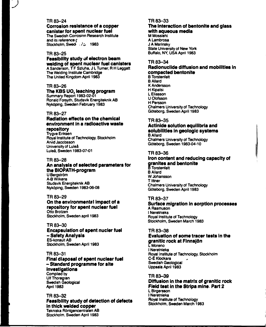### **TR 83-24**

**J**

### **Corrosion resistance of a copper canister for spent nuclear fuel**

The Swedish Corrosion Research Institute and its reference **r** Stockholm, Swed : N. 1983

#### **TR 83-25**

### **Feasibility study of electron beam welding of spent nuclear fuel canisters**

A Sanderson, T F Szluha, J L Turner, R H Leggatt The Welding Institute Cambridge The United Kingdom April 1983

#### **TR 83-26**

### **The KBS UO2 leaching program**

Summary Report 1983-02-01 Ronald Forsyth, Studsvik Energiteknik AB Nyköping, Sweden February 1983

#### **TR 83-27**

### **Radiation effects on the chemical environment in a radioactive waste repository**

Trygve Eriksen Royal Institute of Technology, Stockholm Arvid Jacobsson Univerisity of Luleå Luleå, Sweden 1983-07-01

#### **TR 83-28**

#### **An analysis of selected parameters for the BIOPATH-program** U Bergström A-B Wilkens Studsvik Energiteknik AB Nyköping, Sweden 1983-06-08

#### **TR 83-29**

#### **On the environmental impact of a repository for spent nuclear fuel** Otto Brotzen

Stockholm, Sweden april 1983

#### **TR 83-30**

#### **Encapsulation of spent nucler fuel - Safety Analysis** ES-konsult AB Stockholm, Sweden April 1983

#### **TR 83-31**

#### **Final disposal of spent nuclear fuel - Standard programme for site investigations** Compiled by Ulf Thoregren Swedish Geological April 1983

#### **TR 83-32 Feasibility study of detection of defects in thick welded copper** Tekniska Röntgencentralen AB Stockholm, Sweden April 1983

### **TR 83-33**

#### **The interaction of bentonite and glass with aqueous media**

M Mosslehi A Lambrosa J A Marinsky State University of New York Buffalo. NY, USA April 1983

#### **TR 83-34**

### **Radionuclide diffusion and mobilities in compacted bentonite**

B Torstenfett BAIIard K Andersson H Kipatsi L Eliasson U Olofsson H Persson Chalmers University of Technology Göteborg, Sweden April 1983

### **TR 83-35**

#### **Actinide solution equilibria and solubilities in geologic systems** BAIIard

Chalmers University of Technology Göteborg, Sweden 1983-04-10

#### **TR 83-36**

### **Iron content and reducing capacity of granites and bentonite** B Torstenfelt

**B** Allard WJohansson T **inner** Chalmers University of Technology Göteborg, Sweden April 1983

#### **TR 83-37**

#### **Surface migration in sorption processes** A Rasmuson I Neretnieks

Royal Institute of Technology Stockholm, Sweden March 1983

### **TR 83-38**

### **Evaluation of some tracer tests in the granitic rock at Finnsjön**

L Moreno I Neretnieks Royal institute of Technology, Stockholm C-E Klockars Swedish Geological Uppsala April 1983

# **TR 83-39**

#### **Diffusion in the matrix of granitic rock Field test in the Stripa mine Part 2** L Birgersson I Neretnieks Royal Institute of Technology Stockholm, Sweden March 1983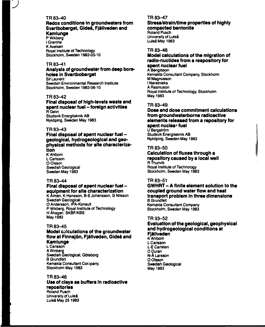#### **TR 83-40**

# **Redox conditions in groundwaters from Svartboberget, Gideå, Fjällveden and Kamlunge**

**P Wikberg I Grenthe K Axelsen Royal Institute of Technology Stockholm, Sweden 1983-05-10**

### **TR 83-41**

#### **Analysis of groundwater from deep boreholes in Svartboberget Sif Laurent**

**Swedish Environmental Research Institute Stockholm, Sweden 1983-06-10**

#### **TR 83-42**

#### **Final disposal of high-levels waste and spent nuclear fuel -foreign activities R Gelin Studsvik Energiteknik AB Nyköping, Sweden May 1983**

### **TR 83-43**

# **Final disposal of spent nuclear fuel geological, hydrogeological and geophysical methods for site characterization**

**K Ahlbom L Carlsson O Olsson Swedish Geological Sweden May 1983**

#### **TR 83-44**

# **Final disposal of spent nuclear fuel equipment for site characterization**

**K Almén, K Hansson, B-E Johansson, G Nilsson Swedish Geological O Andersson, IPA-Konsult P Wikberg, Royal Institute of Technology H Åhagen, SKBF/KBS May 1983**

#### **TR 83-45**

# **Model calculations of the groundwater flow at Finnsjön, Fjällveden, Gideå and Kamlunge**

**L Carlsson AWinberg Swedish Geological, Göteborg B Grundfelt Kemakta Consultant Company, Stockholm May 1983**

#### **TR 83-46**

# **Use of clays as buffers in radioactive repositories**

**Roland Pusch University of Luleå Luleå May 251983**

#### **TR 83-47**

# **Stress/strain/time properties of highly compacted bentonite**

**Roland Pusch University of Luleå Luleå May 1983**

#### **TR 83-48**

## **Model calculations of the migration of radio-nuclides from a respository for spent nuclear fuel**

**A Bengtsson Kemakta Consultant Company, Stockholm M Magnusson I Neretnieks A Rasmuson Royal Institute of Technology, Stockholm May 1983**

### **TR 83-49**

# **Dose and dose commitment calculations from groundwaterborne radioactive elements released from a repository for spent nuclear fuel**

**U Bergström Studsvik Energiteknik AB Nyköping, Sweden May 1983**

# **TR 83-50**

# **Calculation of fluxes through a repository caused by a local well RThunvik**

**Royal Institute of Technology Stockholm, Sweden May 1983**

## **TR 83-51**

#### **GWHRT - A finite element solution to the coupled ground water flow and heat transport problem in three dimensions B Grundfelt Kemakta Consultant Company Stockholm, Sweden May 1983**

### **TR 83-52**

# **Evaluation of the geological, geophysical and hydrogeological conditions at Fjällveden**

**K Ahlbom L Carlsson L-E Carlsten O Duran N-Å Larsson O Olsson Swedish Geological May 1983**